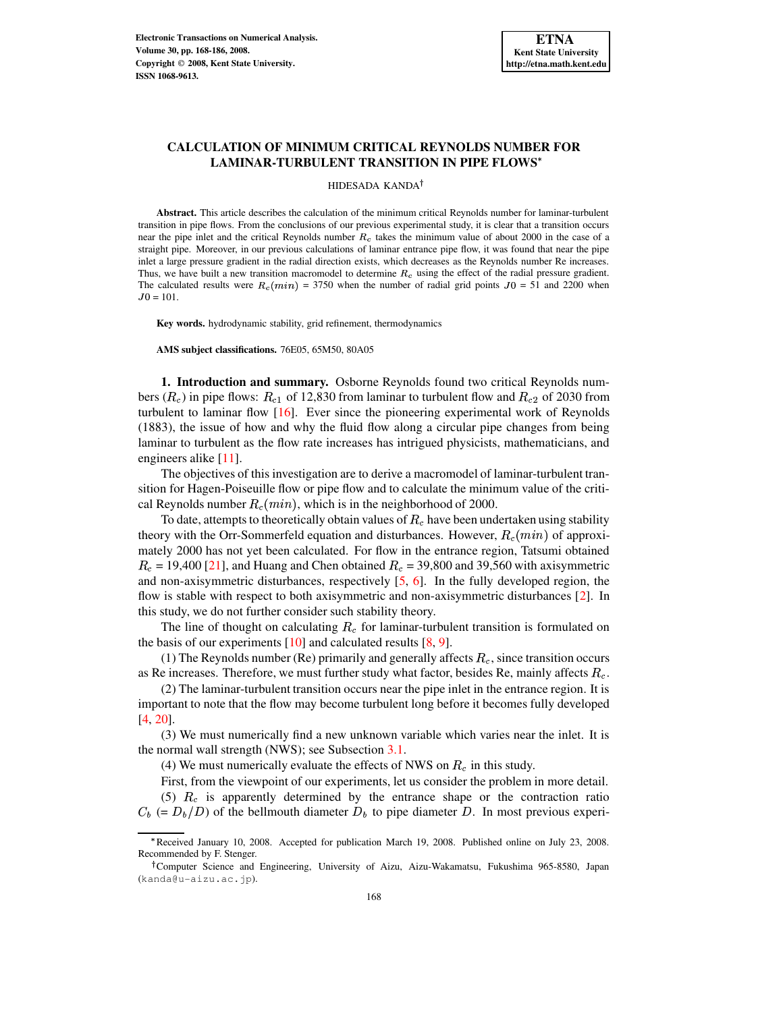# **CALCULATION OF MINIMUM CRITICAL REYNOLDS NUMBER FOR LAMINAR-TURBULENT TRANSITION IN PIPE FLOWS**

#### HIDESADA KANDA

**Abstract.** This article describes the calculation of the minimum critical Reynolds number for laminar-turbulent transition in pipe flows. From the conclusions of our previous experimental study, it is clear that a transition occurs near the pipe inlet and the critical Reynolds number  $R_c$  takes the minimum value of about 2000 in the case of a straight pipe. Moreover, in our previous calculations of laminar entrance pipe flow, it was found that near the pipe inlet a large pressure gradient in the radial direction exists, which decreases as the Reynolds number Re increases. Thus, we have built a new transition macromodel to determine  $R_c$  using the effect of the radial pressure gradient. The calculated results were  $R_c(min) = 3750$  when the number of radial grid points  $J0 = 51$  and 2200 when  $J0 = 101.$ 

**Key words.** hydrodynamic stability, grid refinement, thermodynamics

**AMS subject classifications.** 76E05, 65M50, 80A05

**1. Introduction and summary.** Osborne Reynolds found two critical Reynolds numbers ( $R_c$ ) in pipe flows:  $R_{c1}$  of 12,830 from laminar to turbulent flow and  $R_{c2}$  of 2030 from turbulent to laminar flow  $[16]$ . Ever since the pioneering experimental work of Reynolds (1883), the issue of how and why the fluid flow along a circular pipe changes from being laminar to turbulent as the flow rate increases has intrigued physicists, mathematicians, and engineers alike [\[11\]](#page-16-1).

The objectives of this investigation are to derive a macromodel of laminar-turbulent transition for Hagen-Poiseuille flow or pipe flow and to calculate the minimum value of the critical Reynolds number  $R_c(min)$ , which is in the neighborhood of 2000.

To date, attempts to theoretically obtain values of  $R_c$  have been undertaken using stability theory with the Orr-Sommerfeld equation and disturbances. However,  $R_c(min)$  of approximately 2000 has not yet been calculated. For flow in the entrance region, Tatsumi obtained  $R_c = 19,400$  [\[21\]](#page-17-0), and Huang and Chen obtained  $R_c = 39,800$  and 39,560 with axisymmetric and non-axisymmetric disturbances, respectively  $[5, 6]$  $[5, 6]$  $[5, 6]$ . In the fully developed region, the flow is stable with respect to both axisymmetric and non-axisymmetric disturbances [\[2\]](#page-16-4). In this study, we do not further consider such stability theory.

The line of thought on calculating  $R_c$  for laminar-turbulent transition is formulated on the basis of our experiments  $[10]$  and calculated results  $[8, 9]$  $[8, 9]$  $[8, 9]$ .

(1) The Reynolds number (Re) primarily and generally affects  $R_c$ , since transition occurs as Re increases. Therefore, we must further study what factor, besides Re, mainly affects  $R_c$ .

(2) The laminar-turbulent transition occurs near the pipe inlet in the entrance region. It is important to note that the flow may become turbulent long before it becomes fully developed [\[4,](#page-16-8) [20\]](#page-17-1).

(3) We must numerically find a new unknown variable which varies near the inlet. It is the normal wall strength (NWS); see Subsection [3.1.](#page-8-0)

(4) We must numerically evaluate the effects of NWS on  $R_c$  in this study.

First, from the viewpoint of our experiments, let us consider the problem in more detail. (5)  $R_c$  is apparently determined by the entrance shape or the contraction ratio

 $C_b (= D_b/D)$  of the bellmouth diameter  $D_b$  to pipe diameter D. In most previous experi-

<sup>.</sup> Received January 10, 2008. Accepted for publication March 19, 2008. Published online on July 23, 2008. Recommended by F. Stenger.

Computer Science and Engineering, University of Aizu, Aizu-Wakamatsu, Fukushima 965-8580, Japan (kanda@u-aizu.ac.jp).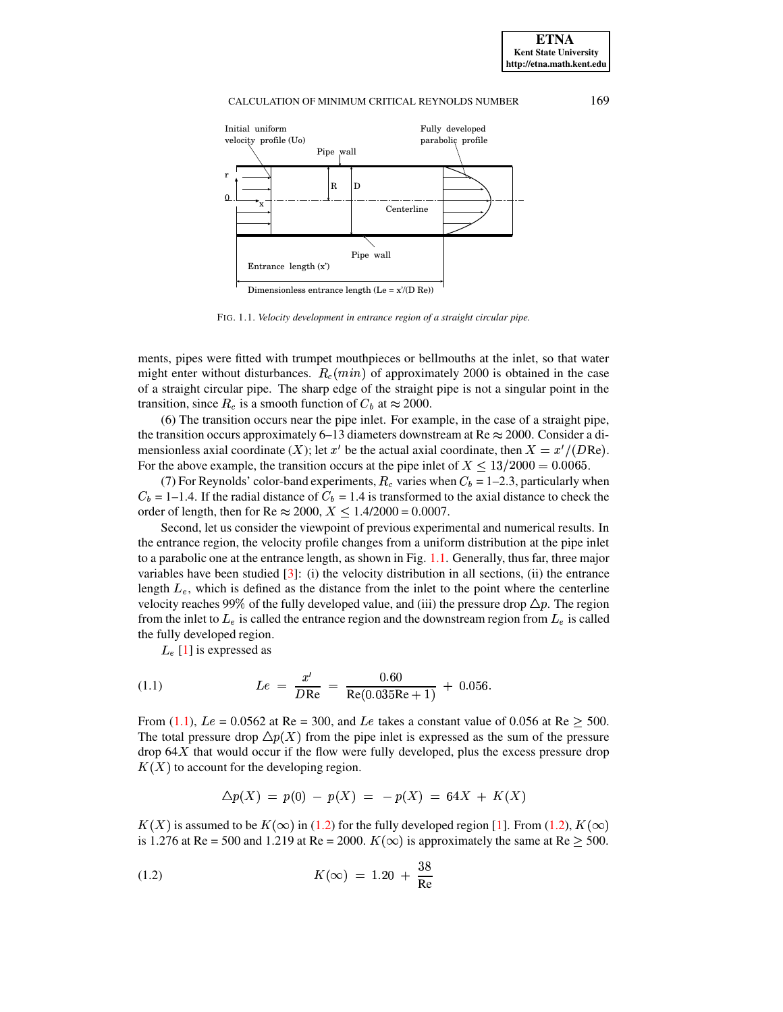

FIG. 1.1. *Velocity development in entrance region of a straight circular pipe.*

<span id="page-1-0"></span>ments, pipes were fitted with trumpet mouthpieces or bellmouths at the inlet, so that water might enter without disturbances.  $R_c(min)$  of approximately 2000 is obtained in the case of a straight circular pipe. The sharp edge of the straight pipe is not a singular point in the transition, since  $R_c$  is a smooth function of  $C_b$  at  $\approx 2000$ .

(6) The transition occurs near the pipe inlet. For example, in the case of a straight pipe, the transition occurs approximately 6–13 diameters downstream at  $\text{Re} \approx 2000$ . Consider a dimensionless axial coordinate  $(X)$ ; let  $x'$  be the actual axial coordinate, then  $X = x'/(DRe)$ . For the above example, the transition occurs at the pipe inlet of  $X \le 13/2000 = 0.0065$ .

(7) For Reynolds' color-band experiments,  $R_c$  varies when  $C_b = 1-2.3$ , particularly when  $C_b = 1-1.4$ . If the radial distance of  $C_b = 1.4$  is transformed to the axial distance to check the order of length, then for Re  $\approx 2000$ ,  $X \le 1.4/2000 = 0.0007$ .

Second, let us consider the viewpoint of previous experimental and numerical results. In the entrance region, the velocity profile changes from a uniform distribution at the pipe inlet to a parabolic one at the entrance length, as shown in Fig. [1.1.](#page-1-0) Generally, thus far, three major variables have been studied  $[3]$ : (i) the velocity distribution in all sections, (ii) the entrance length  $L_e$ , which is defined as the distance from the inlet to the point where the centerline velocity reaches 99% of the fully developed value, and (iii) the pressure drop  $\Delta p$ . The region from the inlet to  $L_e$  is called the entrance region and the downstream region from  $L_e$  is called the fully developed region.

 $L_{e}$  [\[1\]](#page-16-10) is expressed as

<span id="page-1-1"></span>(1.1) 
$$
Le = \frac{x'}{D\text{Re}} = \frac{0.60}{\text{Re}(0.035\text{Re} + 1)} + 0.056.
$$

From [\(1.1\)](#page-1-1),  $Le = 0.0562$  at Re = 300, and Le takes a constant value of 0.056 at Re  $> 500$ . The total pressure drop  $\Delta p(X)$  from the pipe inlet is expressed as the sum of the pressure drop  $64X$  that would occur if the flow were fully developed, plus the excess pressure drop  $K(X)$  to account for the developing region.

<span id="page-1-2"></span>
$$
\Delta p(X) = p(0) - p(X) = -p(X) = 64X + K(X)
$$

 $K(X)$  is assumed to be  $K(\infty)$  in [\(1.2\)](#page-1-2) for the fully developed region [\[1\]](#page-16-10). From (1.2),  $K(\infty)$ is 1.276 at Re = 500 and 1.219 at Re = 2000.  $K(\infty)$  is approximately the same at Re  $\geq$  500.

(1.2) 
$$
K(\infty) = 1.20 + \frac{38}{\text{Re}}
$$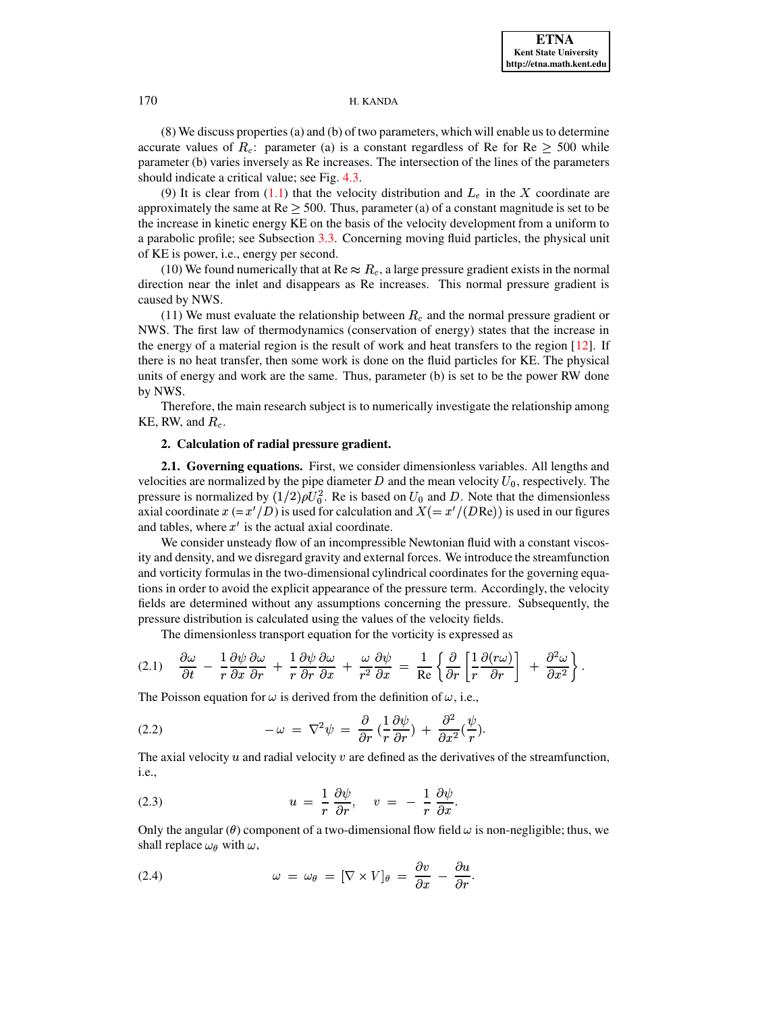(8) We discuss properties(a) and (b) of two parameters, which will enable us to determine accurate values of  $R_c$ : parameter (a) is a constant regardless of Re for Re  $\geq$  500 while parameter (b) varies inversely as Re increases. The intersection of the lines of the parameters should indicate a critical value; see Fig. [4.3.](#page-15-0)

(9) It is clear from [\(1.1\)](#page-1-1) that the velocity distribution and  $L_e$  in the X coordinate are approximately the same at  $Re > 500$ . Thus, parameter (a) of a constant magnitude is set to be the increase in kinetic energy KE on the basis of the velocity development from a uniform to a parabolic profile; see Subsection [3.3.](#page-10-0) Concerning moving fluid particles, the physical unit of KE is power, i.e., energy per second.

(10) We found numerically that at Re  $\approx R_c$ , a large pressure gradient exists in the normal direction near the inlet and disappears as Re increases. This normal pressure gradient is caused by NWS.

(11) We must evaluate the relationship between  $R_c$  and the normal pressure gradient or NWS. The first law of thermodynamics (conservation of energy) states that the increase in the energy of a material region is the result of work and heat transfers to the region  $[12]$ . If there is no heat transfer, then some work is done on the fluid particles for KE. The physical units of energy and work are the same. Thus, parameter (b) is set to be the power RW done by NWS.

Therefore, the main research subject is to numerically investigate the relationship among KE, RW, and  $R_c$ .

# **2. Calculation of radial pressure gradient.**

**2.1. Governing equations.** First, we consider dimensionless variables. All lengths and velocities are normalized by the pipe diameter  $D$  and the mean velocity  $U_0$ , respectively. The pressure is normalized by  $(1/2)\rho U_0^2$ . Re is based on  $U_0$  and D. Note that the dimensionless axial coordinate  $x = x'/D$  is used for calculation and  $X = x'/(DRe)$  is used in our figures and tables, where  $x'$  is the actual axial coordinate.

We consider unsteady flow of an incompressible Newtonian fluid with a constant viscosity and density, and we disregard gravity and external forces. We introduce the streamfunction and vorticity formulas in the two-dimensional cylindrical coordinates for the governing equations in order to avoid the explicit appearance of the pressure term. Accordingly, the velocity fields are determined without any assumptions concerning the pressure. Subsequently, the pressure distribution is calculated using the values of the velocity fields.

The dimensionless transport equation for the vorticity is expressed as

<span id="page-2-1"></span>
$$
(2.1) \quad \frac{\partial \omega}{\partial t} - \frac{1}{r} \frac{\partial \psi}{\partial x} \frac{\partial \omega}{\partial r} + \frac{1}{r} \frac{\partial \psi}{\partial r} \frac{\partial \omega}{\partial x} + \frac{\omega}{r^2} \frac{\partial \psi}{\partial x} = \frac{1}{\text{Re}} \left\{ \frac{\partial}{\partial r} \left[ \frac{1}{r} \frac{\partial (r\omega)}{\partial r} \right] + \frac{\partial^2 \omega}{\partial x^2} \right\}.
$$

The Poisson equation for  $\omega$  is derived from the definition of  $\omega$ , i.e.,

<span id="page-2-2"></span>(2.2) 
$$
-\omega = \nabla^2 \psi = \frac{\partial}{\partial r} \left( \frac{1}{r} \frac{\partial \psi}{\partial r} \right) + \frac{\partial^2}{\partial x^2} \left( \frac{\psi}{r} \right).
$$

The axial velocity  $u$  and radial velocity  $v$  are defined as the derivatives of the streamfunction, i.e.,

<span id="page-2-0"></span>(2.3) 
$$
u = \frac{1}{r} \frac{\partial \psi}{\partial r}, \quad v = -\frac{1}{r} \frac{\partial \psi}{\partial x}.
$$

Only the angular ( $\theta$ ) component of a two-dimensional flow field  $\omega$  is non-negligible; thus, we shall replace  $\omega_{\theta}$  with  $\omega$ ,

<span id="page-2-3"></span>(2.4) 
$$
\omega = \omega_{\theta} = [\nabla \times V]_{\theta} = \frac{\partial v}{\partial x} - \frac{\partial u}{\partial r}.
$$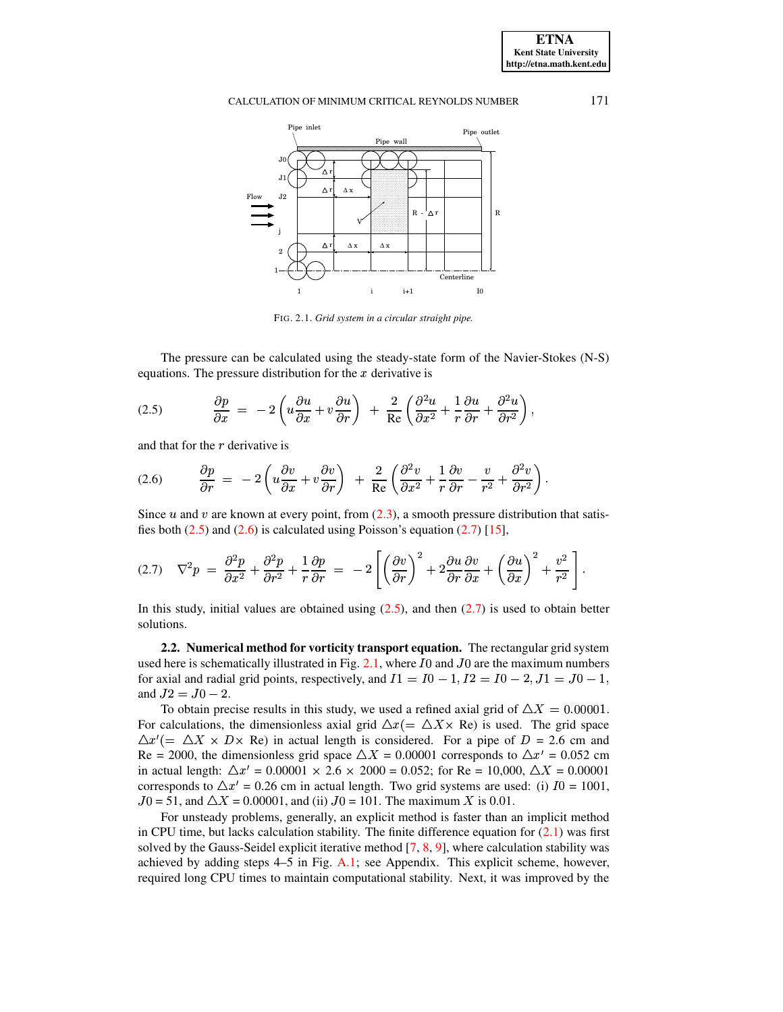

<span id="page-3-3"></span>FIG. 2.1. *Grid system in a circular straight pipe.*

The pressure can be calculated using the steady-state form of the Navier-Stokes (N-S) equations. The pressure distribution for the  $x$  derivative is

<span id="page-3-0"></span>(2.5) 
$$
\frac{\partial p}{\partial x} = -2\left(u\frac{\partial u}{\partial x} + v\frac{\partial u}{\partial r}\right) + \frac{2}{\text{Re}}\left(\frac{\partial^2 u}{\partial x^2} + \frac{1}{r}\frac{\partial u}{\partial r} + \frac{\partial^2 u}{\partial r^2}\right),
$$

and that for the  $r$  derivative is

<span id="page-3-1"></span>
$$
(2.6) \qquad \frac{\partial p}{\partial r} = -2\left(u\frac{\partial v}{\partial x} + v\frac{\partial v}{\partial r}\right) + \frac{2}{\text{Re}}\left(\frac{\partial^2 v}{\partial x^2} + \frac{1}{r}\frac{\partial v}{\partial r} - \frac{v}{r^2} + \frac{\partial^2 v}{\partial r^2}\right).
$$

Since  $u$  and  $v$  are known at every point, from [\(2.3\)](#page-2-0), a smooth pressure distribution that satisfies both  $(2.5)$  and  $(2.6)$  is calculated using Poisson's equation  $(2.7)$  [\[15\]](#page-16-12),

<span id="page-3-2"></span>
$$
(2.7) \quad \nabla^2 p = \frac{\partial^2 p}{\partial x^2} + \frac{\partial^2 p}{\partial r^2} + \frac{1}{r} \frac{\partial p}{\partial r} = -2 \left[ \left( \frac{\partial v}{\partial r} \right)^2 + 2 \frac{\partial u}{\partial r} \frac{\partial v}{\partial x} + \left( \frac{\partial u}{\partial x} \right)^2 + \frac{v^2}{r^2} \right].
$$

In this study, initial values are obtained using  $(2.5)$ , and then  $(2.7)$  is used to obtain better solutions.

**2.2. Numerical method for vorticity transport equation.** The rectangular grid system used here is schematically illustrated in Fig. [2.1,](#page-3-3) where  $I0$  and  $J0$  are the maximum numbers for axial and radial grid points, respectively, and  $I1 = I0 - 1, I2 = I0 - 2, J1 = J0 - 1$ , and  $J2 = J0 - 2$ .

To obtain precise results in this study, we used a refined axial grid of  $\Delta X = 0.00001$ . For calculations, the dimensionless axial grid  $\Delta x (= \Delta X \times Re)$  is used. The grid space  $\Delta x' = \Delta X \times D \times \text{Re}$  in actual length is considered. For a pipe of  $D = 2.6$  cm and Re = 2000, the dimensionless grid space  $\Delta X = 0.00001$  corresponds to  $\Delta x' = 0.052$  cm in actual length:  $\Delta x' = 0.00001 \times 2.6 \times 2000 = 0.052$ ; for Re = 10,000,  $\Delta X = 0.00001$ corresponds to  $\Delta x' = 0.26$  cm in actual length. Two grid systems are used: (i)  $I0 = 1001$ ,  $J0 = 51$ , and  $\Delta X = 0.00001$ , and (ii)  $J0 = 101$ . The maximum X is 0.01.

For unsteady problems, generally, an explicit method is faster than an implicit method in CPU time, but lacks calculation stability. The finite difference equation for  $(2.1)$  was first solved by the Gauss-Seidel explicit iterative method  $[7, 8, 9]$  $[7, 8, 9]$  $[7, 8, 9]$  $[7, 8, 9]$  $[7, 8, 9]$ , where calculation stability was achieved by adding steps  $4-5$  in Fig.  $A.1$ ; see Appendix. This explicit scheme, however, required long CPU times to maintain computational stability. Next, it was improved by the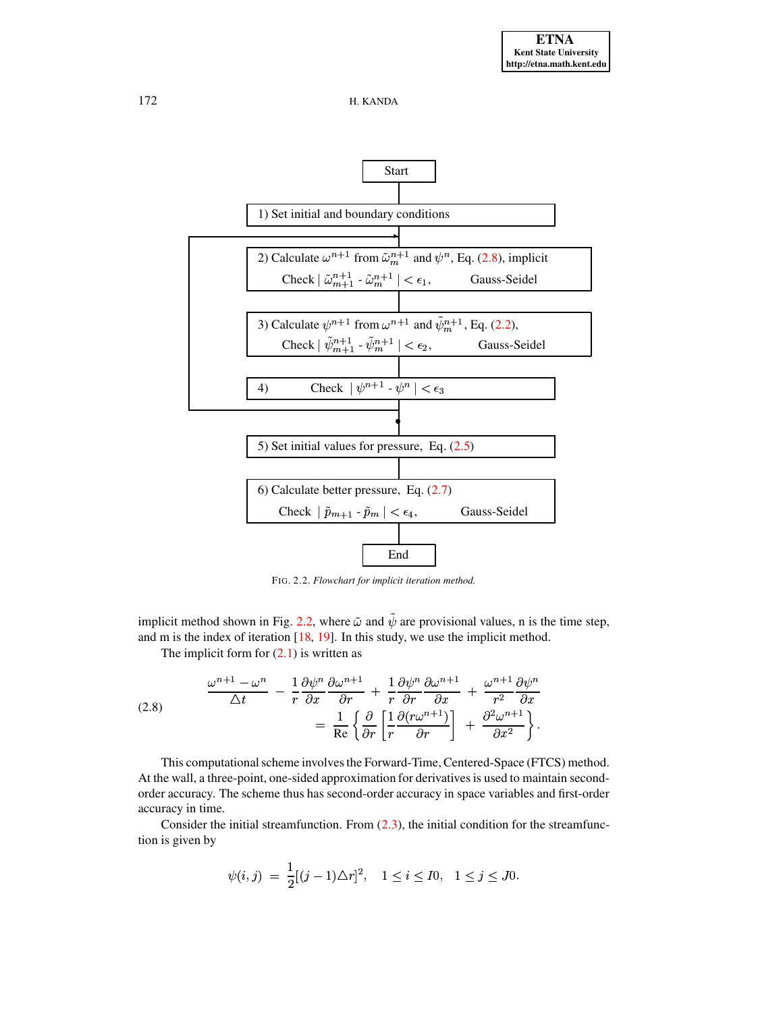



<span id="page-4-1"></span>FIG. 2.2. *Flowchart for implicit iteration method.*

implicit method shown in Fig. [2.2,](#page-4-1) where  $\tilde{\omega}$  and  $\psi$  are provisional values, n is the time step, and m is the index of iteration [\[18,](#page-16-14) [19\]](#page-17-2). In this study, we use the implicit method.

The implicit form for  $(2.1)$  is written as

<span id="page-4-0"></span>(2.8) 
$$
\frac{\omega^{n+1} - \omega^n}{\Delta t} - \frac{1}{r} \frac{\partial \psi^n}{\partial x} \frac{\partial \omega^{n+1}}{\partial r} + \frac{1}{r} \frac{\partial \psi^n}{\partial r} \frac{\partial \omega^{n+1}}{\partial x} + \frac{\omega^{n+1}}{r^2} \frac{\partial \psi^n}{\partial x}
$$

$$
= \frac{1}{\text{Re}} \left\{ \frac{\partial}{\partial r} \left[ \frac{1}{r} \frac{\partial (r \omega^{n+1})}{\partial r} \right] + \frac{\partial^2 \omega^{n+1}}{\partial x^2} \right\}.
$$

This computational scheme involves the Forward-Time, Centered-Space (FTCS) method. At the wall, a three-point, one-sided approximation for derivativesis used to maintain secondorder accuracy. The scheme thus has second-order accuracy in space variables and first-order accuracy in time.

Consider the initial streamfunction. From  $(2.3)$ , the initial condition for the streamfunction is given by

$$
\psi(i,j) = \frac{1}{2}[(j-1)\Delta r]^2, \quad 1 \le i \le I0, \quad 1 \le j \le J0.
$$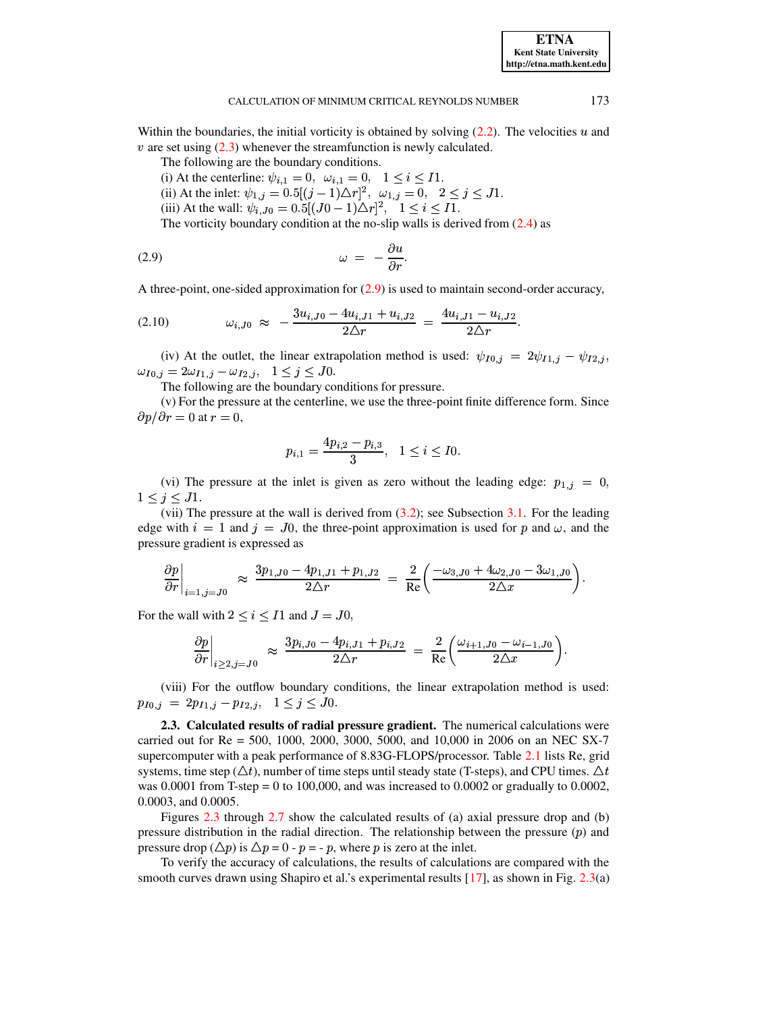Within the boundaries, the initial vorticity is obtained by solving  $(2.2)$ . The velocities  $u$  and  $v$  are set using  $(2.3)$  whenever the streamfunction is newly calculated.

The following are the boundary conditions.

(i) At the centerline:  $\psi_{i,1} = 0$ ,  $\omega_{i,1} = 0$ ,  $1 \leq i \leq 11$ .

(ii) At the inlet:  $\psi_{1,j} = 0.5[(j-1)\Delta r]^2$ ,  $\omega_{1,j} = 0$ ,  $2 \le j \le J1$ .

(iii) At the wall:  $\psi_{i,J0} = 0.5[(J0-1)\Delta r]^2$ ,  $1 \le i \le I1$ .

<span id="page-5-0"></span>The vorticity boundary condition at the no-slip walls is derived from  $(2.4)$  as

$$
\omega = -\frac{\partial u}{\partial r}.
$$

A three-point, one-sided approximation for [\(2.9\)](#page-5-0) is used to maintain second-order accuracy,

 $\sim$  the state  $\sim$  the state  $\sim$ 

<span id="page-5-1"></span>
$$
(2.10) \t\t \t\t\t \omega_{i,J0} \approx -\frac{3u_{i,J0} - 4u_{i,J1} + u_{i,J2}}{2\Delta r} = \frac{4u_{i,J1} - u_{i,J2}}{2\Delta r}.
$$

(iv) At the outlet, the linear extrapolation method is used:  $\psi_{I0,j} = 2\psi_{I1,j} - \psi_{I2,j}$ ,  $v_{0,j} = 2\omega_{I1,j} - \omega_{I2,j}, \quad 1 \leq j \leq J0.$ 

The following are the boundary conditions for pressure.

(v) For the pressure at the centerline, we use the three-point finite difference form. Since  $\partial p/\partial r = 0$  at  $r = 0$ ,

$$
p_{i,1} = \frac{4p_{i,2} - p_{i,3}}{3}, \quad 1 \leq i \leq I0.
$$

(vi) The pressure at the inlet is given as zero without the leading edge:  $p_{1,j} = 0$ ,  $1\leq j\leq J$ 1.

(vii) The pressure at the wall is derived from [\(3.2\)](#page-8-1); see Subsection [3.1.](#page-8-0) For the leading edge with  $i = 1$  and  $j = J0$ , the three-point approximation is used for p and  $\omega$ , and the pressure gradient is expressed as

$$
\left.\frac{\partial p}{\partial r}\right|_{i=1,j=J0} \;\; \approx \;\frac{3p_{1,J0}-4p_{1,J1}+p_{1,J2}}{2\triangle r} \; = \; \frac{2}{\mathrm{Re}}\bigg(\frac{-\omega_{3,J0}+4\omega_{2,J0}-3\omega_{1,J0}}{2\triangle x}\bigg).
$$

For the wall with  $2 \leq i \leq I1$  and  $J = J0$ ,

$$
\left.\frac{\partial p}{\partial r}\right|_{i \geq 2, j = J0} \;\; \approx \;\frac{3p_{i,J0} - 4p_{i,J1} + p_{i,J2}}{2\triangle r} \; = \; \frac{2}{\mathrm{Re}}\bigg( \frac{\omega_{i+1,J0} - \omega_{i-1,J0}}{2\triangle x} \bigg).
$$

(viii) For the outflow boundary conditions, the linear extrapolation method is used:  $p_{I0,j} = 2p_{I1,j} - p_{I2,j}, \quad 1 \leq j \leq J0.$ 

**2.3. Calculated results of radial pressure gradient.** The numerical calculations were carried out for Re = 500, 1000, 2000, 3000, 5000, and 10,000 in 2006 on an NEC SX-7 supercomputer with a peak performance of 8.83G-FLOPS/processor. Table [2.1](#page-6-0) lists Re, grid systems, time step ( $\triangle t$ ), number of time steps until steady state (T-steps), and CPU times.  $\triangle t$ was  $0.0001$  from T-step = 0 to 100,000, and was increased to  $0.0002$  or gradually to  $0.0002$ , 0.0003, and 0.0005.

Figures [2.3](#page-6-1) through [2.7](#page-8-2) show the calculated results of (a) axial pressure drop and (b) pressure distribution in the radial direction. The relationship between the pressure  $(p)$  and pressure drop ( $\Delta p$ ) is  $\Delta p = 0$  -  $p = -p$ , where p is zero at the inlet.

To verify the accuracy of calculations, the results of calculations are compared with the smooth curves drawn using Shapiro et al.'s experimental results [\[17\]](#page-16-15), as shown in Fig. [2.3\(](#page-6-1)a)

**ETNA Kent State University http://etna.math.kent.edu**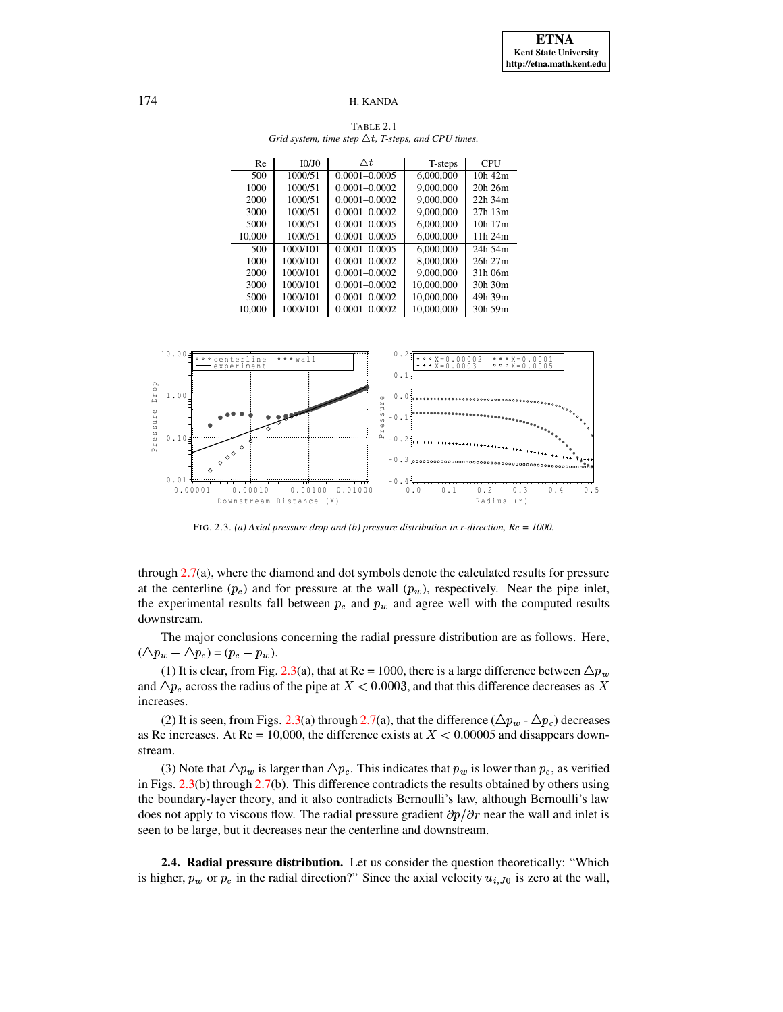TABLE 2.1 *Grid system, time step*  $\triangle t$ *, T-steps, and CPU times.* 

<span id="page-6-0"></span>

| Re     | <b>IO/IO</b> | $\wedge t$        | T-steps    | CPU          |
|--------|--------------|-------------------|------------|--------------|
| 500    | 1000/51      | $0.0001 - 0.0005$ | 6,000,000  | $10h$ 42 $m$ |
| 1000   | 1000/51      | $0.0001 - 0.0002$ | 9,000,000  | $20h$ $26m$  |
| 2000   | 1000/51      | $0.0001 - 0.0002$ | 9,000,000  | $22h$ 34 $m$ |
| 3000   | 1000/51      | $0.0001 - 0.0002$ | 9,000,000  | $27h$ 13 $m$ |
| 5000   | 1000/51      | $0.0001 - 0.0005$ | 6,000,000  | $10h$ 17 $m$ |
| 10,000 | 1000/51      | $0.0001 - 0.0005$ | 6,000,000  | 11h 24m      |
| 500    | 1000/101     | $0.0001 - 0.0005$ | 6,000,000  | 24h 54m      |
| 1000   | 1000/101     | $0.0001 - 0.0002$ | 8,000,000  | $26h$ $27m$  |
| 2000   | 1000/101     | $0.0001 - 0.0002$ | 9,000,000  | 31h 06m      |
| 3000   | 1000/101     | $0.0001 - 0.0002$ | 10,000,000 | 30h 30m      |
| 5000   | 1000/101     | $0.0001 - 0.0002$ | 10,000,000 | 49h 39m      |
| 10.000 | 1000/101     | $0.0001 - 0.0002$ | 10,000,000 | 30h 59m      |



FIG. 2.3. *(a) Axial pressure drop and (b) pressure distribution in r-direction, Re = 1000.*

<span id="page-6-1"></span>through [2.7\(](#page-8-2)a), where the diamond and dot symbols denote the calculated results for pressure at the centerline  $(p_c)$  and for pressure at the wall  $(p_w)$ , respectively. Near the pipe inlet, the experimental results fall between  $p_c$  and  $p_w$  and agree well with the computed results downstream.

The major conclusions concerning the radial pressure distribution are as follows. Here,  $(\triangle p_w - \triangle p_c) = (p_c - p_w).$ 

(1) It is clear, from Fig. [2.3\(](#page-6-1)a), that at Re = 1000, there is a large difference between  $\Delta p_w$ and  $\Delta p_c$  across the radius of the pipe at  $X<0.0003$ , and that this difference decreases as X increases.

(2) It is seen, from Figs. [2.3\(](#page-6-1)a) through [2.7\(](#page-8-2)a), that the difference ( $\Delta p_w$  -  $\Delta p_c$ ) decreases as Re increases. At Re = 10,000, the difference exists at  $X < 0.00005$  and disappears downstream.

(3) Note that  $\Delta p_w$  is larger than  $\Delta p_c$ . This indicates that  $p_w$  is lower than  $p_c$ , as verified in Figs. [2.3\(](#page-6-1)b) through [2.7\(](#page-8-2)b). This difference contradicts the results obtained by others using the boundary-layer theory, and it also contradicts Bernoulli's law, although Bernoulli's law does not apply to viscous flow. The radial pressure gradient  $\partial p/\partial r$  near the wall and inlet is seen to be large, but it decreases near the centerline and downstream.

**2.4. Radial pressure distribution.** Let us consider the question theoretically: "Which is higher,  $p_w$  or  $p_c$  in the radial direction?" Since the axial velocity  $u_{i,j0}$  is zero at the wall,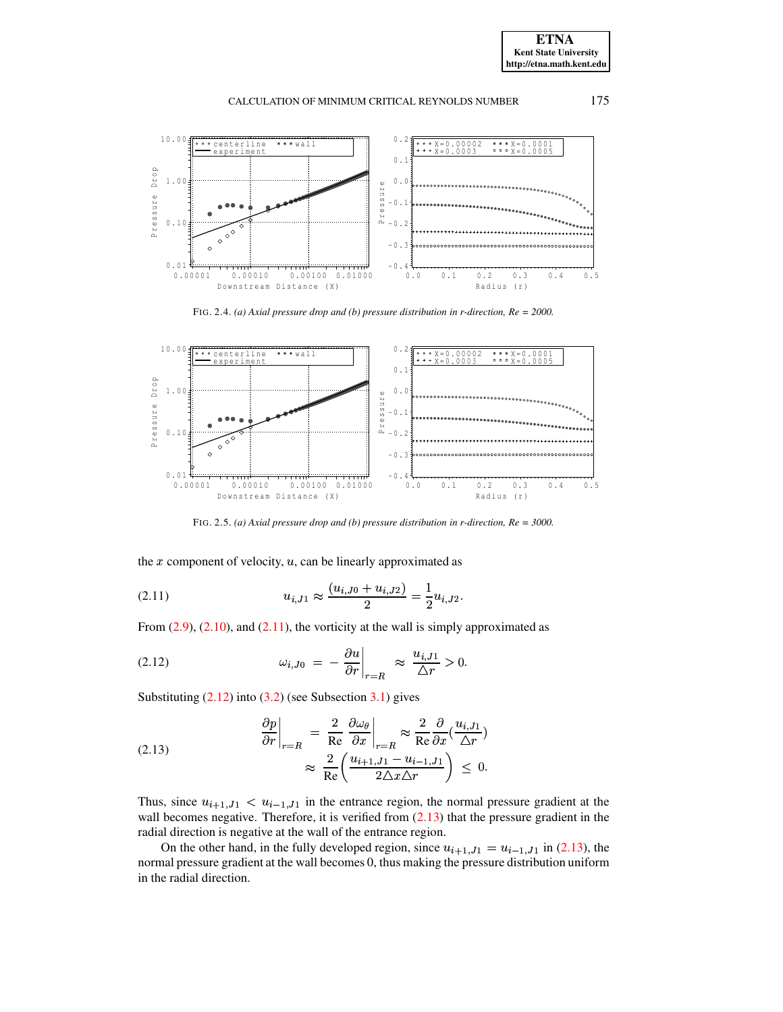**ETNA Kent State University http://etna.math.kent.edu**





FIG. 2.4. *(a) Axial pressure drop and (b) pressure distribution in r-direction, Re = 2000.*

<span id="page-7-3"></span>

FIG. 2.5. *(a) Axial pressure drop and (b) pressure distribution in r-direction, Re = 3000.*

the  $x$  component of velocity,  $u$ , can be linearly approximated as

<span id="page-7-0"></span>
$$
(2.11) \t\t u_{i,J1} \approx \frac{(u_{i,J0} + u_{i,J2})}{2} = \frac{1}{2} u_{i,J2}.
$$

From  $(2.9)$ ,  $(2.10)$ , and  $(2.11)$ , the vorticity at the wall is simply approximated as

<span id="page-7-1"></span>(2.12) 
$$
\omega_{i,J0} = -\frac{\partial u}{\partial r}\Big|_{r=R} \approx \frac{u_{i,J1}}{\Delta r} > 0.
$$

Substituting  $(2.12)$  into  $(3.2)$  (see Subsection  $3.1$ ) gives

<span id="page-7-2"></span>(2.13) 
$$
\frac{\partial p}{\partial r}\Big|_{r=R} = \frac{2}{\text{Re}} \frac{\partial \omega_{\theta}}{\partial x}\Big|_{r=R} \approx \frac{2}{\text{Re}} \frac{\partial}{\partial x} (\frac{u_{i,J1}}{\Delta r}) \approx \frac{2}{\text{Re}} \left(\frac{u_{i+1,J1} - u_{i-1,J1}}{2\Delta x \Delta r}\right) \leq 0.
$$

Thus, since  $u_{i+1}$ ,  $j_1 < u_{i-1}$ ,  $j_1$  in the entrance region, the normal pressure gradient at the wall becomes negative. Therefore, it is verified from  $(2.13)$  that the pressure gradient in the radial direction is negative at the wall of the entrance region.

On the other hand, in the fully developed region, since  $u_{i+1, J1} = u_{i-1, J1}$  in [\(2.13\)](#page-7-2), the normal pressure gradient at the wall becomes 0, thus making the pressure distribution uniform in the radial direction.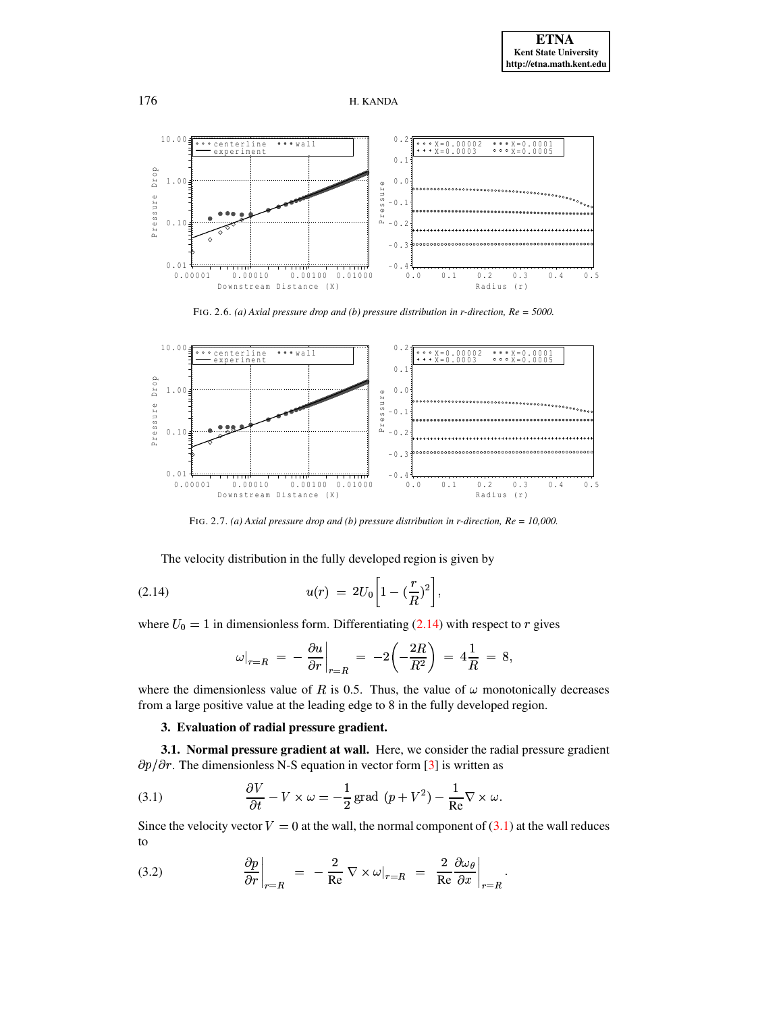



FIG. 2.6. *(a) Axial pressure drop and (b) pressure distribution in r-direction, Re = 5000.*



FIG. 2.7. *(a) Axial pressure drop and (b) pressure distribution in r-direction, Re = 10,000.*

<span id="page-8-4"></span><span id="page-8-2"></span>The velocity distribution in the fully developed region is given by

(2.14) 
$$
u(r) = 2U_0 \left[ 1 - (\frac{r}{R})^2 \right],
$$

where  $U_0 = 1$  in dimensionless form. Differentiating [\(2.14\)](#page-8-4) with respect to r gives

$$
\omega|_{r=R} = -\frac{\partial u}{\partial r}\Big|_{r=R} = -2\left(-\frac{2R}{R^2}\right) = 4\frac{1}{R} = 8,
$$
  
where the dimensionless value of *R* is 0.5. Thus, the value of  $\omega$  monotonically decreases

from a large positive value at the leading edge to 8 in the fully developed region.

# **3. Evaluation of radial pressure gradient.**

<span id="page-8-0"></span>**3.1. Normal pressure gradient at wall.** Here, we consider the radial pressure gradient  $\partial p/\partial r$ . The dimensionless N-S equation in vector form [\[3\]](#page-16-9) is written as

<span id="page-8-3"></span>(3.1) 
$$
\frac{\partial V}{\partial t} - V \times \omega = -\frac{1}{2} \text{grad } (p + V^2) - \frac{1}{\text{Re}} \nabla \times \omega.
$$

Since the velocity vector  $V = 0$  at the wall, the normal component of [\(3.1\)](#page-8-3) at the wall reduces to

<span id="page-8-1"></span>(3.2) 
$$
\frac{\partial p}{\partial r}\bigg|_{r=R} = -\frac{2}{\text{Re}} \nabla \times \omega\big|_{r=R} = \frac{2}{\text{Re}} \frac{\partial \omega_{\theta}}{\partial x}\bigg|_{r=R}.
$$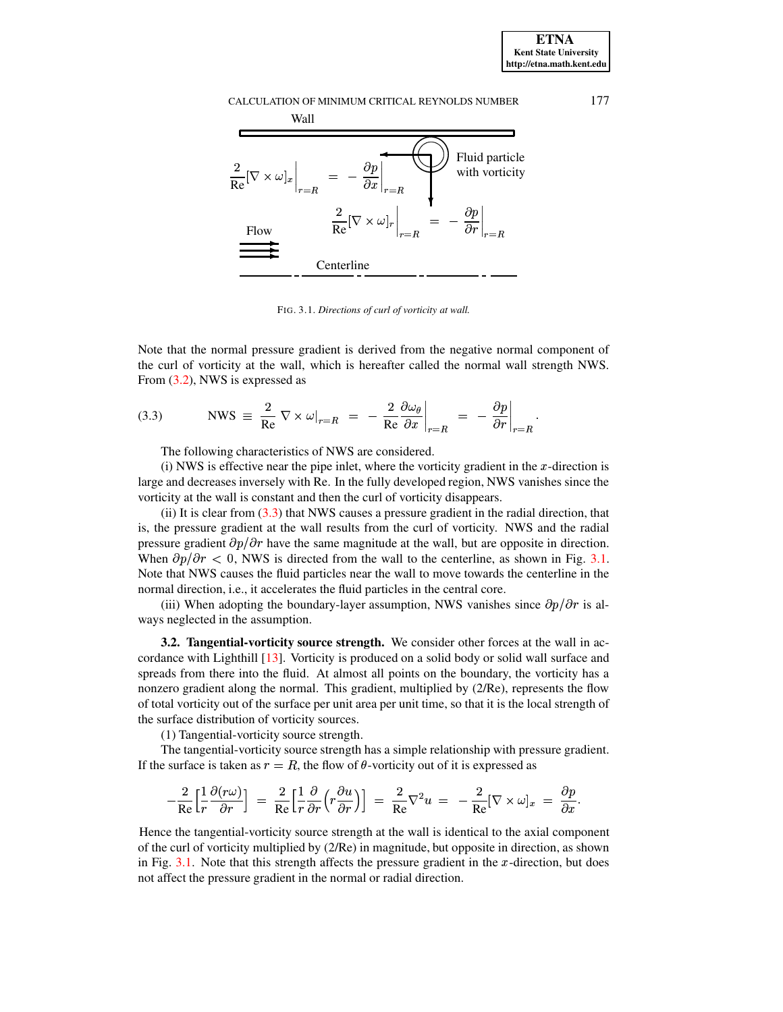

<span id="page-9-1"></span>FIG. 3.1. *Directions of curl of vorticity at wall.*

Note that the normal pressure gradient is derived from the negative normal component of the curl of vorticity at the wall, which is hereafter called the normal wall strength NWS. From [\(3.2\)](#page-8-1), NWS is expressed as

<span id="page-9-0"></span>(3.3) NWS 
$$
\equiv \frac{2}{\text{Re}} \nabla \times \omega|_{r=R} = -\frac{2}{\text{Re}} \frac{\partial \omega_{\theta}}{\partial x}\Big|_{r=R} = -\frac{\partial p}{\partial r}\Big|_{r=R}.
$$

The following characteristics of NWS are considered.

(i) NWS is effective near the pipe inlet, where the vorticity gradient in the  $x$ -direction is large and decreases inversely with Re. In the fully developed region, NWS vanishes since the vorticity at the wall is constant and then the curl of vorticity disappears.

(ii) It is clear from  $(3.3)$  that NWS causes a pressure gradient in the radial direction, that is, the pressure gradient at the wall results from the curl of vorticity. NWS and the radial pressure gradient  $\partial p/\partial r$  have the same magnitude at the wall, but are opposite in direction. When  $\partial p/\partial r < 0$ , NWS is directed from the wall to the centerline, as shown in Fig. [3.1.](#page-9-1) Note that NWS causes the fluid particles near the wall to move towards the centerline in the normal direction, i.e., it accelerates the fluid particles in the central core.

(iii) When adopting the boundary-layer assumption, NWS vanishes since  $\partial p/\partial r$  is always neglected in the assumption.

**3.2. Tangential-vorticity source strength.** We consider other forces at the wall in accordance with Lighthill [\[13\]](#page-16-16). Vorticity is produced on a solid body or solid wall surface and spreads from there into the fluid. At almost all points on the boundary, the vorticity has a nonzero gradient along the normal. This gradient, multiplied by (2/Re), represents the flow of total vorticity out of the surface per unit area per unit time, so that it is the local strength of the surface distribution of vorticity sources.

(1) Tangential-vorticity source strength.

The tangential-vorticity source strength has a simple relationship with pressure gradient. If the surface is taken as  $r = R$ , the flow of  $\theta$ -vorticity out of it is expressed as

$$
-\frac{2}{\mathrm{Re}}\Big[\frac{1}{r}\frac{\partial (r\omega)}{\partial r}\Big] \;=\; \frac{2}{\mathrm{Re}}\Big[\frac{1}{r}\frac{\partial}{\partial r}\Big(r\frac{\partial u}{\partial r}\Big)\Big] \;=\; \frac{2}{\mathrm{Re}}\nabla^2 u \;=\; -\frac{2}{\mathrm{Re}}[\nabla\times\omega]_x \;=\; \frac{\partial p}{\partial x}.
$$

Hence the tangential-vorticity source strength at the wall is identical to the axial component of the curl of vorticity multiplied by (2/Re) in magnitude, but opposite in direction, as shown in Fig.  $3.1$ . Note that this strength affects the pressure gradient in the x-direction, but does not affect the pressure gradient in the normal or radial direction.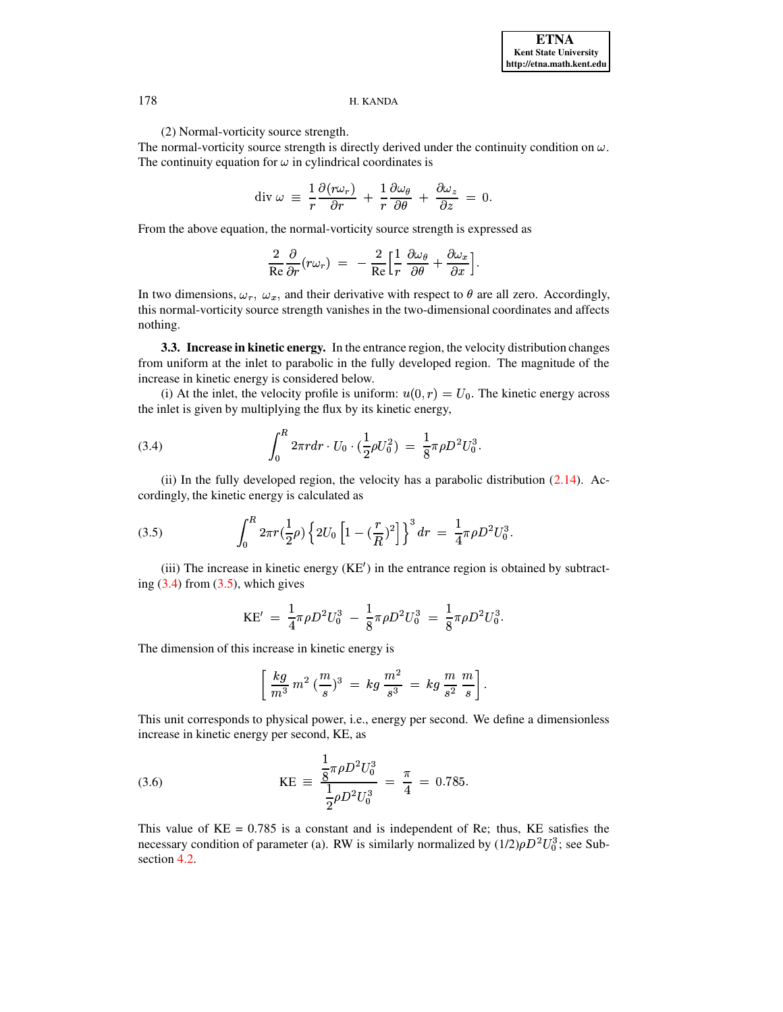(2) Normal-vorticity source strength.

The normal-vorticity source strength is directly derived under the continuity condition on  $\omega$ . The continuity equation for  $\omega$  in cylindrical coordinates is

$$
\operatorname{div} \omega \equiv \frac{1}{r} \frac{\partial (r \omega_r)}{\partial r} + \frac{1}{r} \frac{\partial \omega_\theta}{\partial \theta} + \frac{\partial \omega_z}{\partial z} = 0.
$$

From the above equation, the normal-vorticity source strength is expressed as

$$
\frac{2}{\mathrm{Re}}\frac{\partial}{\partial r}(r\omega_r)\,\,=\,\,-\,\frac{2}{\mathrm{Re}}\Big[\frac{1}{r}\,\frac{\partial\omega_\theta}{\partial\theta}+\frac{\partial\omega_x}{\partial x}\Big].
$$

In two dimensions,  $\omega_r$ ,  $\omega_x$ , and their derivative with respect to  $\theta$  are all zero. Accordingly, this normal-vorticity source strength vanishes in the two-dimensional coordinates and affects nothing.

<span id="page-10-0"></span>**3.3. Increase in kinetic energy.** In the entrance region, the velocity distribution changes from uniform at the inlet to parabolic in the fully developed region. The magnitude of the increase in kinetic energy is considered below.

(i) At the inlet, the velocity profile is uniform:  $u(0, r) = U_0$ . The kinetic energy across the inlet is given by multiplying the flux by its kinetic energy,

<span id="page-10-1"></span>(3.4) 
$$
\int_0^R 2\pi r dr \cdot U_0 \cdot (\frac{1}{2}\rho U_0^2) = \frac{1}{8}\pi \rho D^2 U_0^3.
$$

(ii) In the fully developed region, the velocity has a parabolic distribution  $(2.14)$ . Accordingly, the kinetic energy is calculated as

<span id="page-10-2"></span>(3.5) 
$$
\int_0^R 2\pi r \left(\frac{1}{2}\rho\right) \left\{2U_0 \left[1 - \left(\frac{r}{R}\right)^2\right]\right\}^3 dr = \frac{1}{4}\pi \rho D^2 U_0^3.
$$

(iii) The increase in kinetic energy  $(KE')$  in the entrance region is obtained by subtracting  $(3.4)$  from  $(3.5)$ , which gives

$$
\mathrm{KE}^\prime\ =\ \frac{1}{4}\pi\rho D^2U_0^3\ -\ \frac{1}{8}\pi\rho D^2U_0^3\ =\ \frac{1}{8}\pi\rho D^2U_0^3.
$$

The dimension of this increase in kinetic energy is

$$
\left[\ \frac{kg}{m^3} \ m^2 \ (\frac{m}{s})^3 \ = \ kg\ \frac{m^2}{s^3} \ = \ kg\ \frac{m}{s^2}\ \frac{m}{s}\right].
$$

This unit corresponds to physical power, i.e., energy per second. We define a dimensionless increase in kinetic energy per second, KE, as

<span id="page-10-3"></span>(3.6) 
$$
KE = \frac{\frac{1}{8}\pi\rho D^2 U_0^3}{\frac{1}{2}\rho D^2 U_0^3} = \frac{\pi}{4} = 0.785.
$$

This value of  $KE = 0.785$  is a constant and is independent of Re; thus,  $KE$  satisfies the necessary condition of parameter (a). RW is similarly normalized by  $(1/2)\rho D^2 U_0^3$ ; see Subsection [4.2.](#page-11-0)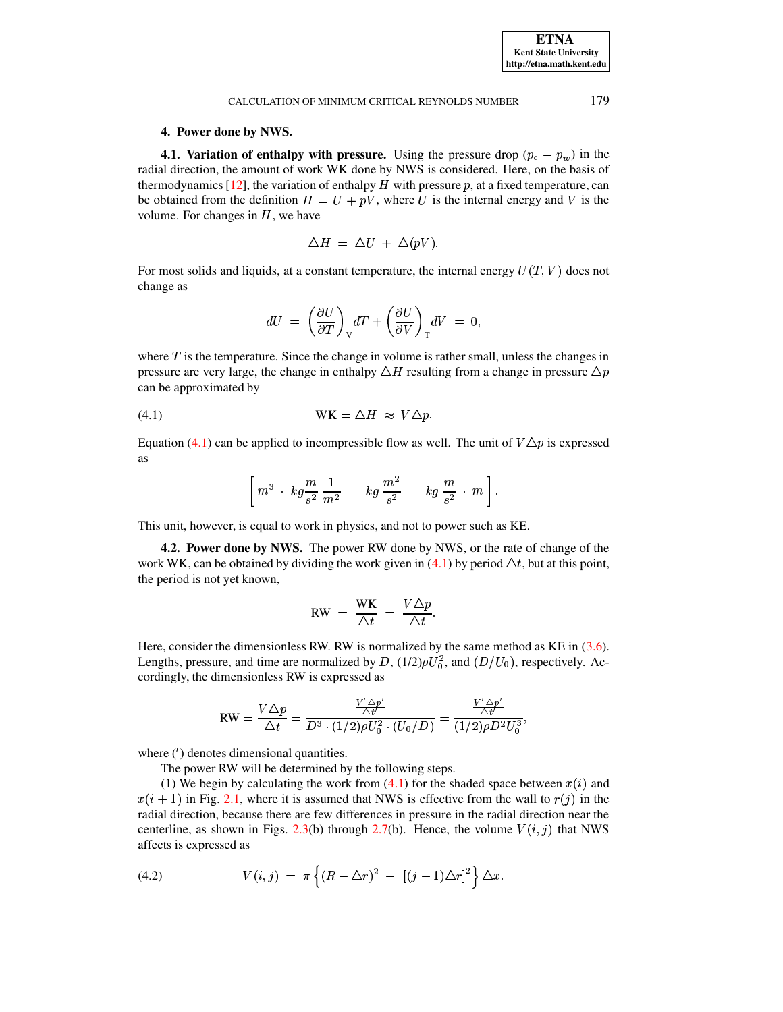# **4. Power done by NWS.**

**4.1. Variation of enthalpy with pressure.** Using the pressure drop  $(p_c - p_w)$  in the radial direction, the amount of work WK done by NWS is considered. Here, on the basis of thermodynamics [\[12\]](#page-16-11), the variation of enthalpy H with pressure p, at a fixed temperature, can be obtained from the definition  $H = U + pV$ , where U is the internal energy and V is the volume. For changes in  $H$ , we have

$$
\Delta H = \Delta U + \Delta (pV).
$$

For most solids and liquids, at a constant temperature, the internal energy  $U(T, V)$  does not change as

$$
dU\ =\ \left(\frac{\partial U}{\partial T}\right)_{\rm V}\!dT\,+\,\left(\frac{\partial U}{\partial V}\right)_{\rm T}\!dV\ =\ 0,
$$

where  $T$  is the temperature. Since the change in volume is rather small, unless the changes in pressure are very large, the change in enthalpy  $\triangle H$  resulting from a change in pressure  $\triangle p$ can be approximated by

$$
(4.1) \t\t \t WK = \triangle H \approx V \triangle p.
$$

Equation [\(4.1\)](#page-11-1) can be applied to incompressible flow as well. The unit of  $V\Delta p$  is expressed as

<span id="page-11-1"></span>
$$
\left[\,m^3\,\cdot\,k g\frac{m}{s^2}\,\frac{1}{m^2}\;=\;kg\,\frac{m^2}{s^2}\;=\;kg\,\frac{m}{s^2}\,\cdot\,m\,\right].
$$

<span id="page-11-0"></span>This unit, however, is equal to work in physics, and not to power such as KE.

**4.2. Power done by NWS.** The power RW done by NWS, or the rate of change of the work WK, can be obtained by dividing the work given in  $(4.1)$  by period  $\Delta t$ , but at this point, the period is not yet known,

$$
RW = \frac{WK}{\Delta t} = \frac{V \Delta p}{\Delta t}.
$$

Here, consider the dimensionless RW. RW is normalized by the same method as KE in  $(3.6)$ . Lengths, pressure, and time are normalized by  $D$ ,  $(1/2)\rho U_0^2$ , and  $(D/U_0)$ , respectively. Accordingly, the dimensionless RW is expressed as

$$
\text{RW} = \frac{V\Delta p}{\Delta t} = \frac{\frac{V'\Delta p'}{\Delta t'}}{D^3 \cdot (1/2)\rho U_0^2 \cdot (U_0/D)} = \frac{\frac{V'\Delta p'}{\Delta t'}}{(1/2)\rho D^2 U_0^3},
$$

where  $(')$  denotes dimensional quantities.

The power RW will be determined by the following steps.

(1) We begin by calculating the work from  $(4.1)$  for the shaded space between  $x(i)$  and  $x(i + 1)$  in Fig. [2.1,](#page-3-3) where it is assumed that NWS is effective from the wall to  $r(j)$  in the radial direction, because there are few differences in pressure in the radial direction near the centerline, as shown in Figs. [2.3\(](#page-6-1)b) through [2.7\(](#page-8-2)b). Hence, the volume  $V(i, j)$  that NWS affects is expressed as

<span id="page-11-2"></span>(4.2) 
$$
V(i,j) = \pi \left\{ (R - \Delta r)^2 - [(j-1)\Delta r]^2 \right\} \Delta x.
$$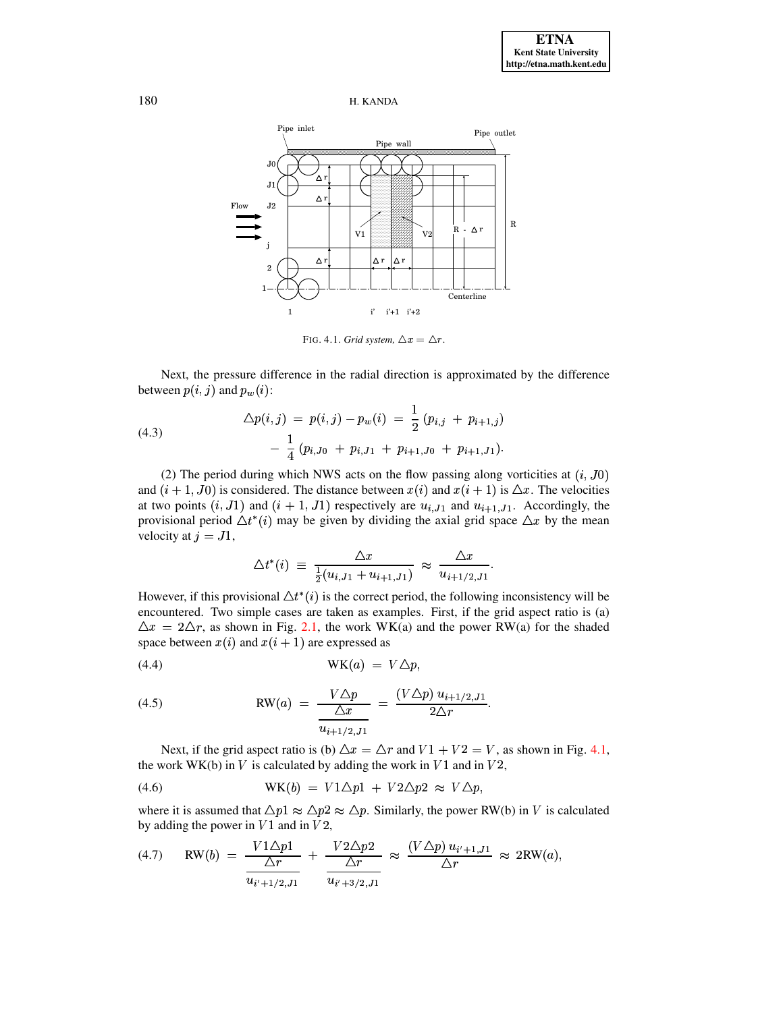



<span id="page-12-0"></span>FIG. 4.1. *Grid system*,  $\Delta x = \Delta r$ .

Next, the pressure difference in the radial direction is approximated by the difference between  $p(i, j)$  and  $p_w(i)$ :

<span id="page-12-5"></span>(4.3)  
\n
$$
\Delta p(i,j) = p(i,j) - p_w(i) = \frac{1}{2} (p_{i,j} + p_{i+1,j}) - \frac{1}{4} (p_{i,J0} + p_{i,J1} + p_{i+1,J0} + p_{i+1,J1}).
$$

(2) The period during which NWS acts on the flow passing along vorticities at  $(i, J0)$ and  $(i + 1, J0)$  is considered. The distance between  $x(i)$  and  $x(i + 1)$  is  $\Delta x$ . The velocities at two points  $(i, J1)$  and  $(i + 1, J1)$  respectively are  $u_{i,J1}$  and  $u_{i+1,J1}$ . Accordingly, the provisional period  $\Delta t^*(i)$  may be given by dividing the axial grid space  $\Delta x$  by the mean velocity at  $j = J1$ ,

$$
\Delta t^*(i) \ \equiv \ \frac{\Delta x}{\frac{1}{2}(u_{i,J1} + u_{i+1,J1})} \ \approx \ \frac{\Delta x}{u_{i+1/2,J1}}.
$$

However, if this provisional  $\Delta t^*(i)$  is the correct period, the following inconsistency will be encountered. Two simple cases are taken as examples. First, if the grid aspect ratio is (a)  $\Delta x = 2\Delta r$ , as shown in Fig. [2.1,](#page-3-3) the work WK(a) and the power RW(a) for the shaded space between  $x(i)$  and  $x(i + 1)$  are expressed as

<span id="page-12-1"></span>
$$
WK(a) = V\Delta p,
$$

<span id="page-12-3"></span>(4.5) 
$$
RW(a) = \frac{V \Delta p}{\frac{\Delta x}{u_{i+1/2, J_1}}} = \frac{(V \Delta p) u_{i+1/2, J_1}}{2 \Delta r}.
$$

Next, if the grid aspect ratio is (b)  $\Delta x = \Delta r$  and  $V1 + V2 = V$ , as shown in Fig. [4.1,](#page-12-0) the work WK(b) in V is calculated by adding the work in  $V1$  and in  $V2$ ,

<span id="page-12-2"></span>(4.6) 
$$
WK(b) = V1\triangle p1 + V2\triangle p2 \approx V\triangle p,
$$

where it is assumed that  $\Delta p_1 \approx \Delta p_2 \approx \Delta p$ . Similarly, the power RW(b) in V is calculated by adding the power in  $V1$  and in  $V2$ ,

<span id="page-12-4"></span>(4.7) 
$$
RW(b) = \frac{V1\Delta p1}{\Delta r} + \frac{V2\Delta p2}{\Delta r} \approx \frac{(V\Delta p) u_{i'+1, J1}}{\Delta r} \approx 2RW(a),
$$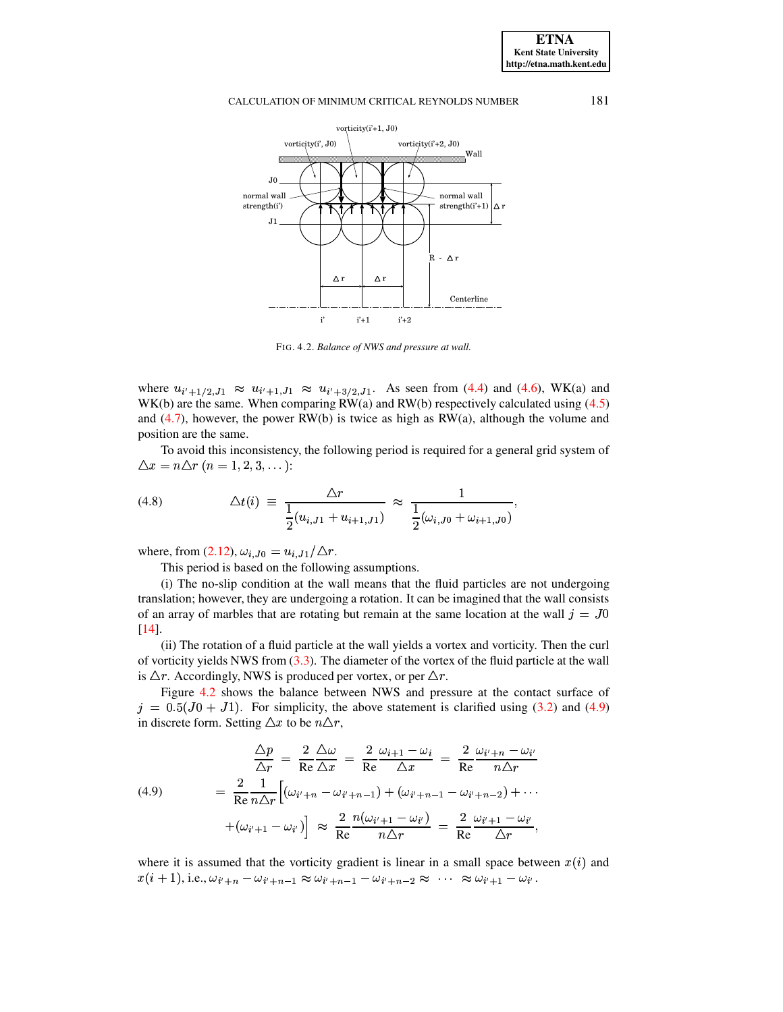

<span id="page-13-0"></span>FIG. 4.2. *Balance of NWS and pressure at wall.*

where  $u_{i'+1/2, J1} \approx u_{i'+1, J1} \approx u_{i'+3/2, J1}$ . As seen from [\(4.4\)](#page-12-1) and [\(4.6\)](#page-12-2), WK(a) and WK(b) are the same. When comparing RW(a) and RW(b) respectively calculated using (4.5) WHELE  $a_{i'}+1/2, J_1 \sim a_{i'}+1, J_1 \sim a_{i'}+3/2, J_1$ . As seen nom (4.4) and (4.6), WK(a) and WK(b) are the same. When comparing RW(a) and RW(b) respectively calculated using [\(4.5\)](#page-12-3) and  $(4.7)$ , however, the power RW(b) is twice as high as RW(a), although the volume and position are the same.

To avoid this inconsistency, the following period is required for a general grid system of  $\Delta x = n \Delta r \ (n = 1, 2, 3, \ldots)$ :

<span id="page-13-2"></span>(4.8) 
$$
\Delta t(i) \equiv \frac{\Delta r}{\frac{1}{2}(u_{i,J1} + u_{i+1,J1})} \approx \frac{1}{\frac{1}{2}(\omega_{i,J0} + \omega_{i+1,J0})},
$$

where, from  $(2.12)$ ,  $\omega_{i,J0} = u_{i,J1}/\triangle r$ .

This period is based on the following assumptions.

(i) The no-slip condition at the wall means that the fluid particles are not undergoing translation; however, they are undergoing a rotation. It can be imagined that the wall consists of an array of marbles that are rotating but remain at the same location at the wall  $j = J0$ [\[14\]](#page-16-17).

(ii) The rotation of a fluid particle at the wall yields a vortex and vorticity. Then the curl of vorticity yields NWS from [\(3.3\)](#page-9-0). The diameter of the vortex of the fluid particle at the wall is  $\Delta r$ . Accordingly, NWS is produced per vortex, or per  $\Delta r$ .

Figure [4.2](#page-13-0) shows the balance between NWS and pressure at the contact surface of  $j = 0.5(J0 + J1)$ . For simplicity, the above statement is clarified using [\(3.2\)](#page-8-1) and [\(4.9\)](#page-13-1) in discrete form. Setting  $\triangle x$  to be  $n\triangle r$ ,

<span id="page-13-1"></span>(4.9)  
\n
$$
\frac{\Delta p}{\Delta r} = \frac{2}{\text{Re}} \frac{\Delta \omega}{\Delta x} = \frac{2}{\text{Re}} \frac{\omega_{i+1} - \omega_i}{\Delta x} = \frac{2}{\text{Re}} \frac{\omega_{i+n} - \omega_{i'}}{n \Delta r}
$$
\n
$$
= \frac{2}{\text{Re}} \frac{1}{n \Delta r} \Big[ (\omega_{i'+n} - \omega_{i'+n-1}) + (\omega_{i'+n-1} - \omega_{i'+n-2}) + \cdots + (\omega_{i'+1} - \omega_{i'}) \Big] \approx \frac{2}{\text{Re}} \frac{n(\omega_{i'+1} - \omega_{i'})}{n \Delta r} = \frac{2}{\text{Re}} \frac{\omega_{i'+1} - \omega_{i'}}{\Delta r},
$$

where it is assumed that the vorticity gradient is linear in a small space between  $x(i)$  and  $x(i + 1)$ , i.e.,  $\omega_{i'+n} - \omega_{i'+n-1} \approx \omega_{i'+n-1} - \omega_{i'+n-2} \approx \cdots \approx \omega_{i'+1} - \omega_{i'}.$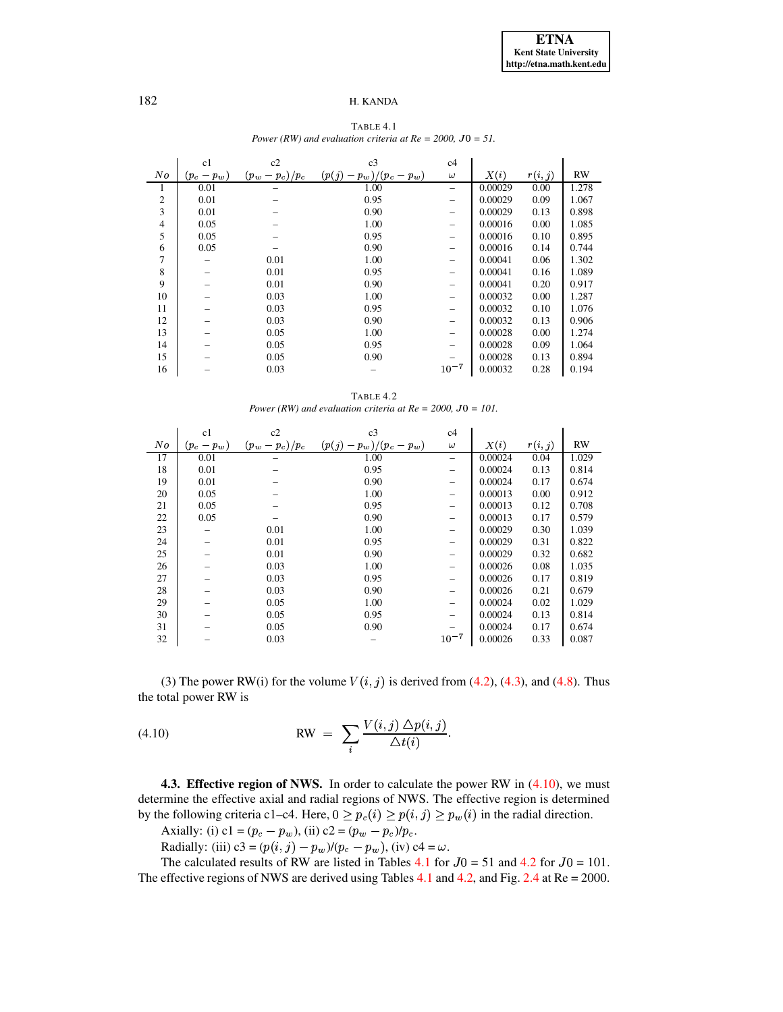<span id="page-14-1"></span>

|                | c1            | c2                | c3                         | c4        |         |         |           |
|----------------|---------------|-------------------|----------------------------|-----------|---------|---------|-----------|
| No             | $(p_c - p_w)$ | $(p_w - p_c)/p_c$ | $(p(j) - p_w)/(p_c - p_w)$ | $\omega$  | X(i)    | r(i, j) | <b>RW</b> |
| 1              | 0.01          |                   | 1.00                       |           | 0.00029 | 0.00    | 1.278     |
| $\mathfrak{2}$ | 0.01          |                   | 0.95                       |           | 0.00029 | 0.09    | 1.067     |
| 3              | 0.01          |                   | 0.90                       |           | 0.00029 | 0.13    | 0.898     |
| $\overline{4}$ | 0.05          |                   | 1.00                       |           | 0.00016 | 0.00    | 1.085     |
| 5              | 0.05          |                   | 0.95                       |           | 0.00016 | 0.10    | 0.895     |
| 6              | 0.05          |                   | 0.90                       |           | 0.00016 | 0.14    | 0.744     |
| 7              |               | 0.01              | 1.00                       |           | 0.00041 | 0.06    | 1.302     |
| 8              |               | 0.01              | 0.95                       |           | 0.00041 | 0.16    | 1.089     |
| 9              |               | 0.01              | 0.90                       |           | 0.00041 | 0.20    | 0.917     |
| 10             |               | 0.03              | 1.00                       |           | 0.00032 | 0.00    | 1.287     |
| 11             |               | 0.03              | 0.95                       |           | 0.00032 | 0.10    | 1.076     |
| 12             |               | 0.03              | 0.90                       |           | 0.00032 | 0.13    | 0.906     |
| 13             |               | 0.05              | 1.00                       |           | 0.00028 | 0.00    | 1.274     |
| 14             |               | 0.05              | 0.95                       |           | 0.00028 | 0.09    | 1.064     |
| 15             |               | 0.05              | 0.90                       |           | 0.00028 | 0.13    | 0.894     |
| 16             |               | 0.03              |                            | $10^{-7}$ | 0.00032 | 0.28    | 0.194     |

TABLE 4.1 *Power* (RW) and *evaluation criteria at*  $Re = 2000$ ,  $J0 = 51$ .

TABLE 4.2 *Power* (RW) and *evaluation criteria at*  $Re = 2000$ ,  $J0 = 101$ .

<span id="page-14-2"></span>

|    | c1            | c2                | c3                         | c4                       |         |         |           |
|----|---------------|-------------------|----------------------------|--------------------------|---------|---------|-----------|
| No | $(p_c - p_w)$ | $(p_w - p_c)/p_c$ | $(p(j) - p_w)/(p_c - p_w)$ | $\omega$                 | X(i)    | r(i, j) | <b>RW</b> |
| 17 | 0.01          |                   | 1.00                       | $\overline{\phantom{0}}$ | 0.00024 | 0.04    | 1.029     |
| 18 | 0.01          |                   | 0.95                       |                          | 0.00024 | 0.13    | 0.814     |
| 19 | 0.01          |                   | 0.90                       | $\overline{\phantom{0}}$ | 0.00024 | 0.17    | 0.674     |
| 20 | 0.05          |                   | 1.00                       |                          | 0.00013 | 0.00    | 0.912     |
| 21 | 0.05          |                   | 0.95                       |                          | 0.00013 | 0.12    | 0.708     |
| 22 | 0.05          |                   | 0.90                       | $\overline{\phantom{0}}$ | 0.00013 | 0.17    | 0.579     |
| 23 |               | 0.01              | 1.00                       |                          | 0.00029 | 0.30    | 1.039     |
| 24 |               | 0.01              | 0.95                       |                          | 0.00029 | 0.31    | 0.822     |
| 25 |               | 0.01              | 0.90                       |                          | 0.00029 | 0.32    | 0.682     |
| 26 |               | 0.03              | 1.00                       |                          | 0.00026 | 0.08    | 1.035     |
| 27 |               | 0.03              | 0.95                       |                          | 0.00026 | 0.17    | 0.819     |
| 28 |               | 0.03              | 0.90                       |                          | 0.00026 | 0.21    | 0.679     |
| 29 |               | 0.05              | 1.00                       |                          | 0.00024 | 0.02    | 1.029     |
| 30 |               | 0.05              | 0.95                       |                          | 0.00024 | 0.13    | 0.814     |
| 31 |               | 0.05              | 0.90                       |                          | 0.00024 | 0.17    | 0.674     |
| 32 |               | 0.03              |                            | $10^{-7}$                | 0.00026 | 0.33    | 0.087     |

(3) The power RW(i) for the volume  $V(i, j)$  is derived from [\(4.2\)](#page-11-2), [\(4.3\)](#page-12-5), and [\(4.8\)](#page-13-2). Thus the total power RW is

<span id="page-14-0"></span>(4.10) 
$$
RW = \sum_{i} \frac{V(i,j) \Delta p(i,j)}{\Delta t(i)}.
$$

**4.3. Effective region of NWS.** In order to calculate the power RW in [\(4.10\)](#page-14-0), we must determine the effective axial and radial regions of NWS. The effective region is determined by the following criteria c1–c4. Here,  $0 \ge p_c(i) \ge p(i, j) \ge p_w(i)$  in the radial direction.

Axially: (i) c1 =  $(p_c - p_w)$ , (ii) c2 =  $(p_w - p_c)/p_c$ .

Radially: (iii)  $c3 = (p(i, j) - p_w)/(p_c - p_w)$ , (iv)  $c4 = \omega$ .

The calculated results of RW are listed in Tables  $4.1$  for  $J0 = 51$  and  $4.2$  for  $J0 = 101$ . The effective regions of NWS are derived using Tables [4.1](#page-14-1) and [4.2,](#page-14-2) and Fig. [2.4](#page-7-3) at Re = 2000.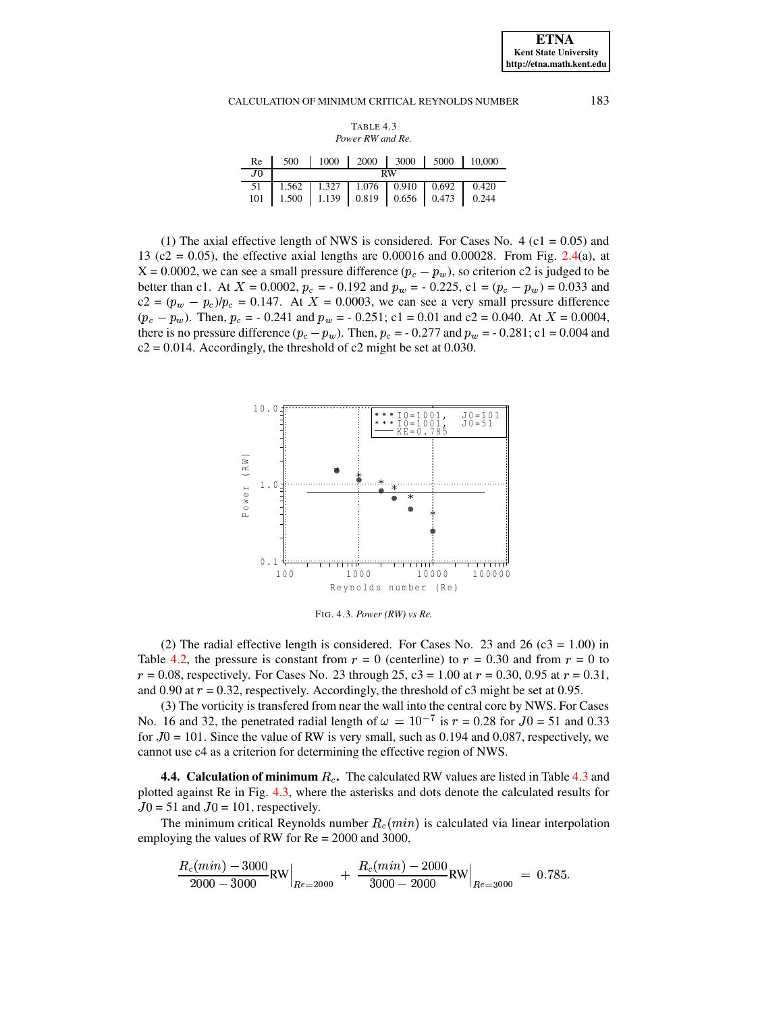| TABLE 4.3       |  |
|-----------------|--|
| Power RW and Re |  |

<span id="page-15-1"></span>

|         |  | Re   500   1000   2000   3000   5000   10,000 |  |
|---------|--|-----------------------------------------------|--|
| $J_{0}$ |  | <b>RW</b>                                     |  |
|         |  |                                               |  |
|         |  |                                               |  |

(1) The axial effective length of NWS is considered. For Cases No. 4 (c1 =  $0.05$ ) and 13 (c2 = 0.05), the effective axial lengths are 0.00016 and 0.00028. From Fig. [2.4\(](#page-7-3)a), at  $X = 0.0002$ , we can see a small pressure difference  $(p_c - p_w)$ , so criterion c2 is judged to be better than c1. At  $X = 0.0002$ ,  $p_c = -0.192$  and  $p_w = -0.225$ , c1 =  $(p_c - p_w) = 0.033$  and  $c2 = (p_w - p_c)/p_c = 0.147$ . At  $X = 0.0003$ , we can see a very small pressure difference  $(p_c - p_w)$ . Then,  $p_c = -0.241$  and  $p_w = -0.251$ ; c1 = 0.01 and c2 = 0.040. At  $X = 0.0004$ , there is no pressure difference  $(p_c - p_w)$ . Then,  $p_c = -0.277$  and  $p_w = -0.281$ ; c1 = 0.004 and  $c2 = 0.014$ . Accordingly, the threshold of c2 might be set at 0.030.



<span id="page-15-0"></span>FIG. 4.3. *Power (RW) vs Re.*

(2) The radial effective length is considered. For Cases No. 23 and 26 ( $c3 = 1.00$ ) in Table [4.2,](#page-14-2) the pressure is constant from  $r = 0$  (centerline) to  $r = 0.30$  and from  $r = 0$  to  $r = 0.08$ , respectively. For Cases No. 23 through 25, c3 = 1.00 at  $r = 0.30$ , 0.95 at  $r = 0.31$ , and 0.90 at  $r = 0.32$ , respectively. Accordingly, the threshold of c3 might be set at 0.95.

(3) The vorticity is transfered from near the wall into the central core by NWS. For Cases No. 16 and 32, the penetrated radial length of  $\omega = 10^{-7}$  is  $r = 0.28$  for  $J0 = 51$  and 0.33 for  $J0 = 101$ . Since the value of RW is very small, such as 0.194 and 0.087, respectively, we cannot use c4 as a criterion for determining the effective region of NWS.

**4.4. Calculation of minimum .** The calculated RW values are listed in Table [4.3](#page-15-1) and plotted against Re in Fig. [4.3,](#page-15-0) where the asterisks and dots denote the calculated results for  $J0 = 51$  and  $J0 = 101$ , respectively.

The minimum critical Reynolds number  $R_c(min)$  is calculated via linear interpolation employing the values of RW for Re = 2000 and 3000,

$$
\frac{R_c(min) - 3000}{2000 - 3000} \text{RW}\Big|_{Re = 2000} + \frac{R_c(min) - 2000}{3000 - 2000} \text{RW}\Big|_{Re = 3000} = 0.785.
$$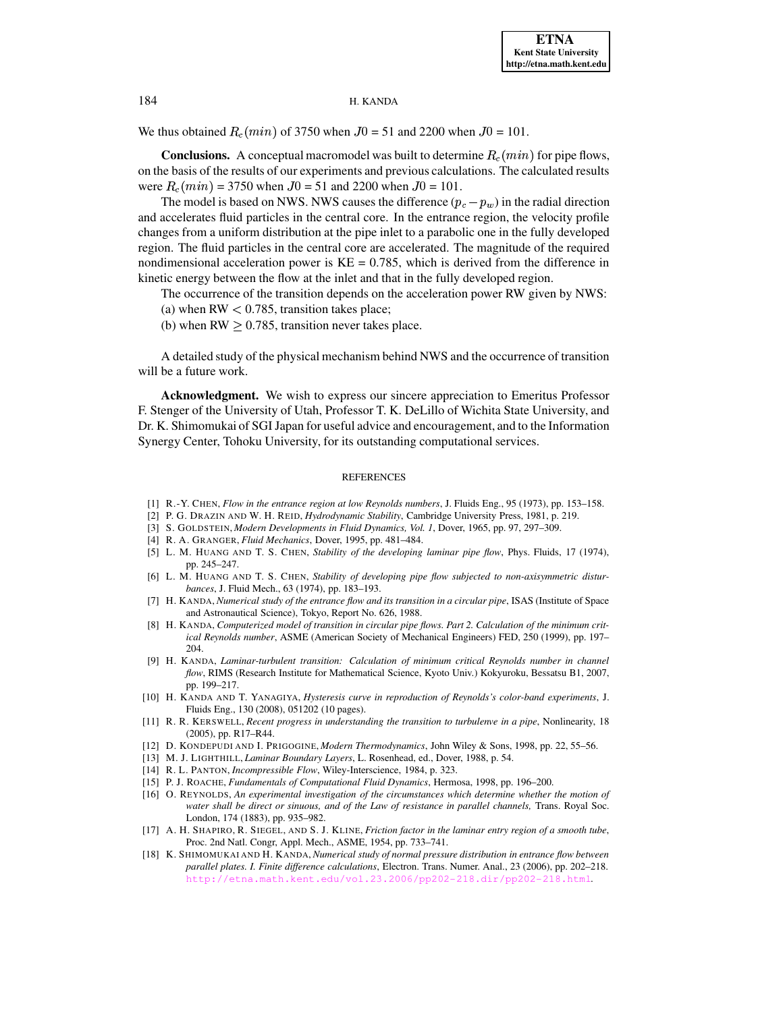We thus obtained  $R_c(min)$  of 3750 when  $J0 = 51$  and 2200 when  $J0 = 101$ .

**Conclusions.** A conceptual macromodel was built to determine  $R_c(min)$  for pipe flows, on the basis of the results of our experiments and previous calculations. The calculated results were  $R_c(min) = 3750$  when  $J0 = 51$  and 2200 when  $J0 = 101$ .

The model is based on NWS. NWS causes the difference  $(p_c - p_w)$  in the radial direction and accelerates fluid particles in the central core. In the entrance region, the velocity profile changes from a uniform distribution at the pipe inlet to a parabolic one in the fully developed region. The fluid particles in the central core are accelerated. The magnitude of the required nondimensional acceleration power is  $KE = 0.785$ , which is derived from the difference in kinetic energy between the flow at the inlet and that in the fully developed region.

The occurrence of the transition depends on the acceleration power RW given by NWS:

- (a) when  $RW < 0.785$ , transition takes place;
- (b) when  $RW > 0.785$ , transition never takes place.

A detailed study of the physical mechanism behind NWS and the occurrence of transition will be a future work.

**Acknowledgment.** We wish to express our sincere appreciation to Emeritus Professor F. Stenger of the University of Utah, Professor T. K. DeLillo of Wichita State University, and Dr. K. Shimomukai of SGI Japan for useful advice and encouragement, and to the Information Synergy Center, Tohoku University, for its outstanding computational services.

#### REFERENCES

- <span id="page-16-10"></span><span id="page-16-4"></span>[1] R.-Y. CHEN, *Flow in the entrance region at low Reynolds numbers*, J. Fluids Eng., 95 (1973), pp. 153–158.
- <span id="page-16-9"></span>[2] P. G. DRAZIN AND W. H. REID, *Hydrodynamic Stability*, Cambridge University Press, 1981, p. 219.
- <span id="page-16-8"></span>[3] S. GOLDSTEIN, *Modern Developments in Fluid Dynamics, Vol. 1*, Dover, 1965, pp. 97, 297–309.
- <span id="page-16-2"></span>[4] R. A. GRANGER, *Fluid Mechanics*, Dover, 1995, pp. 481–484.
- [5] L. M. HUANG AND T. S. CHEN, *Stability of the developing laminar pipe flow*, Phys. Fluids, 17 (1974), pp. 245–247.
- <span id="page-16-3"></span>[6] L. M. HUANG AND T. S. CHEN, *Stability of developing pipe flow subjected to non-axisymmetric disturbances*, J. Fluid Mech., 63 (1974), pp. 183–193.
- <span id="page-16-13"></span>[7] H. KANDA, *Numerical study of the entrance flow and its transition in a circular pipe*, ISAS (Institute of Space and Astronautical Science), Tokyo, Report No. 626, 1988.
- <span id="page-16-6"></span>[8] H. KANDA, *Computerized model of transition in circular pipe flows. Part 2. Calculation of the minimum critical Reynolds number*, ASME (American Society of Mechanical Engineers) FED, 250 (1999), pp. 197– 204.
- <span id="page-16-7"></span>[9] H. KANDA, *Laminar-turbulent transition: Calculation of minimum critical Reynolds number in channel flow*, RIMS (Research Institute for Mathematical Science, Kyoto Univ.) Kokyuroku, Bessatsu B1, 2007, pp. 199–217.
- <span id="page-16-5"></span>[10] H. KANDA AND T. YANAGIYA, *Hysteresis curve in reproduction of Reynolds's color-band experiments*, J. Fluids Eng., 130 (2008), 051202 (10 pages).
- <span id="page-16-1"></span>[11] R. R. KERSWELL, *Recent progress in understanding the transition to turbulenve in a pipe*, Nonlinearity, 18 (2005), pp. R17–R44.
- <span id="page-16-16"></span><span id="page-16-11"></span>[12] D. KONDEPUDI AND I. PRIGOGINE, *Modern Thermodynamics*, John Wiley & Sons, 1998, pp. 22, 55–56.
- <span id="page-16-17"></span>[13] M. J. LIGHTHILL, *Laminar Boundary Layers*, L. Rosenhead, ed., Dover, 1988, p. 54.
- <span id="page-16-12"></span>[14] R. L. PANTON, *Incompressible Flow*, Wiley-Interscience, 1984, p. 323.
- <span id="page-16-0"></span>[15] P. J. ROACHE, *Fundamentals of Computational Fluid Dynamics*, Hermosa, 1998, pp. 196–200.
- [16] O. REYNOLDS, *An experimental investigation of the circumstances which determine whether the motion of water shall be direct or sinuous, and of the Law of resistance in parallel channels,* Trans. Royal Soc. London, 174 (1883), pp. 935–982.
- <span id="page-16-15"></span>[17] A. H. SHAPIRO, R. SIEGEL, AND S. J. KLINE, *Friction factor in the laminar entry region of a smooth tube*, Proc. 2nd Natl. Congr, Appl. Mech., ASME, 1954, pp. 733–741.
- <span id="page-16-14"></span>[18] K. SHIMOMUKAI AND H. KANDA, *Numerical study of normal pressure distribution in entrance flow between parallel plates. I. Finite difference calculations*, Electron. Trans. Numer. Anal., 23 (2006), pp. 202–218. <http://etna.math.kent.edu/vol.23.2006/pp202-218.dir/pp202-218.html>.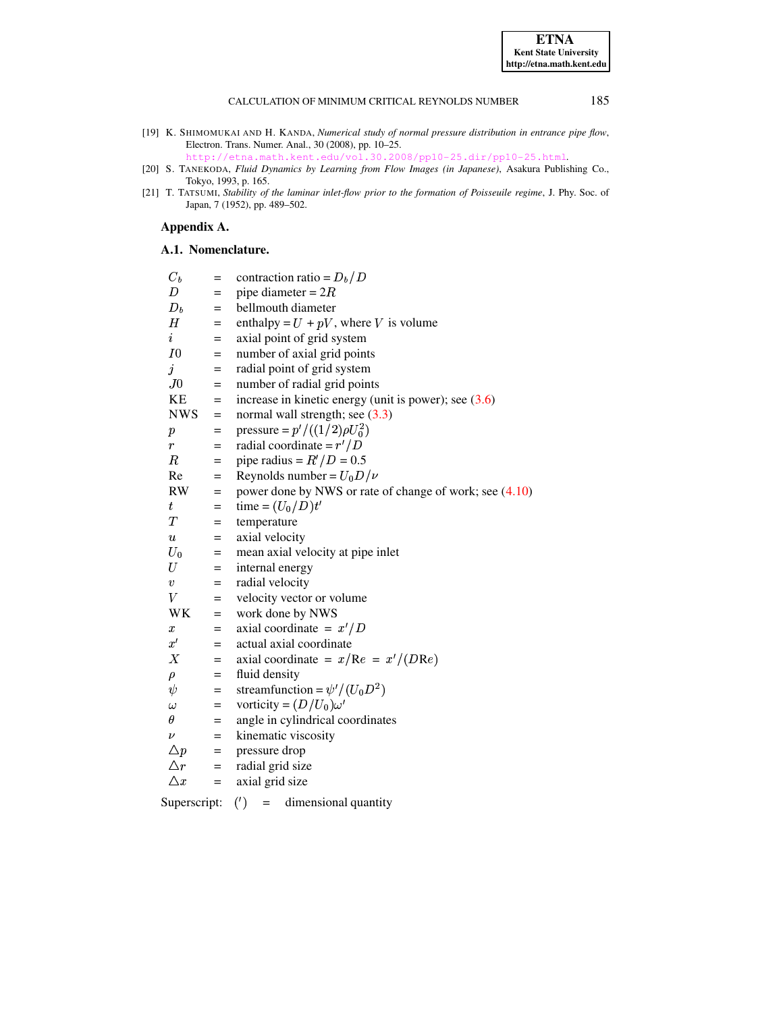<span id="page-17-2"></span>[19] K. SHIMOMUKAI AND H. KANDA, *Numerical study of normal pressure distribution in entrance pipe flow*, Electron. Trans. Numer. Anal., 30 (2008), pp. 10–25.

<http://etna.math.kent.edu/vol.30.2008/pp10-25.dir/pp10-25.html>.

- <span id="page-17-1"></span>[20] S. TANEKODA, *Fluid Dynamics by Learning from Flow Images (in Japanese)*, Asakura Publishing Co., Tokyo, 1993, p. 165.
- <span id="page-17-0"></span>[21] T. TATSUMI, *Stability of the laminar inlet-flow prior to the formation of Poisseuile regime*, J. Phy. Soc. of Japan, 7 (1952), pp. 489–502.

# **Appendix A.**

# **A.1. Nomenclature.**

| $C_b$              | $=$ | contraction ratio = $D_b/D$                             |
|--------------------|-----|---------------------------------------------------------|
| D                  | $=$ | pipe diameter = $2R$                                    |
| $D_b$              | $=$ | bellmouth diameter                                      |
| Η                  | $=$ | enthalpy = $U + pV$ , where V is volume                 |
| $\it i$            | $=$ | axial point of grid system                              |
| I0                 | $=$ | number of axial grid points                             |
| $\dot{j}$          | $=$ | radial point of grid system                             |
| J0                 | $=$ | number of radial grid points                            |
| KE                 | $=$ | increase in kinetic energy (unit is power); see $(3.6)$ |
| <b>NWS</b>         | $=$ | normal wall strength; see $(3.3)$                       |
| $\boldsymbol{p}$   | $=$ | pressure = $p' / ((1/2) \rho U_0^2)$                    |
| $\mathfrak{r}$     | $=$ | radial coordinate = $r'/D$                              |
| $_{\it R}$         | $=$ | pipe radius = $R'/D = 0.5$                              |
| Re                 | $=$ | Reynolds number = $U_0 D / \nu$                         |
| RW                 | $=$ | power done by NWS or rate of change of work; see (4.10) |
| $\,t_{\,}$         | $=$ | time = $(U_0/D)t'$                                      |
| T                  | $=$ | temperature                                             |
| $\boldsymbol{u}$   | $=$ | axial velocity                                          |
| $U_0$              | $=$ | mean axial velocity at pipe inlet                       |
| U                  | $=$ | internal energy                                         |
| $\boldsymbol{v}$   | $=$ | radial velocity                                         |
| V                  | $=$ | velocity vector or volume                               |
| WK                 | $=$ | work done by NWS                                        |
| $\boldsymbol{x}$   | $=$ | axial coordinate = $x'/D$                               |
| $x^{\prime}$       | $=$ | actual axial coordinate                                 |
| Χ                  | $=$ | axial coordinate = $x/Re = x'/(DRe)$                    |
| $\rho$             | $=$ | fluid density                                           |
| $\psi$             | $=$ | streamfunction = $\psi'/(U_0 D^2)$                      |
| $\omega$           | $=$ | vorticity = $(D/U_0)\omega'$                            |
| $\theta$           | $=$ | angle in cylindrical coordinates                        |
| $\boldsymbol{\nu}$ | $=$ | kinematic viscosity                                     |
| $\triangle p$      | $=$ | pressure drop                                           |
| $\triangle r$      | $=$ | radial grid size                                        |
| $\triangle x$      | $=$ | axial grid size                                         |
|                    |     |                                                         |

Superscript:  $(')$  = dimensional quantity